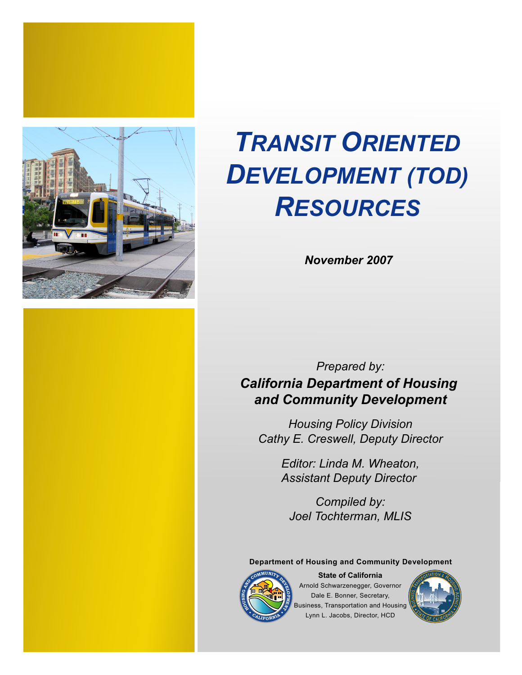



*November 2007*

*Prepared by: California Department of Housing and Community Development*

*Housing Policy Division Cathy E. Creswell, Deputy Director*

> *Editor: Linda M. Wheaton, Assistant Deputy Director*

*Compiled by: Joel Tochterman, MLIS*

**Department of Housing and Community Development**



Arnold Schwarzenegger, Governor Dale E. Bonner, Secretary, Business, Transportation and Housing Lynn L. Jacobs, Director, HCD **State of California**

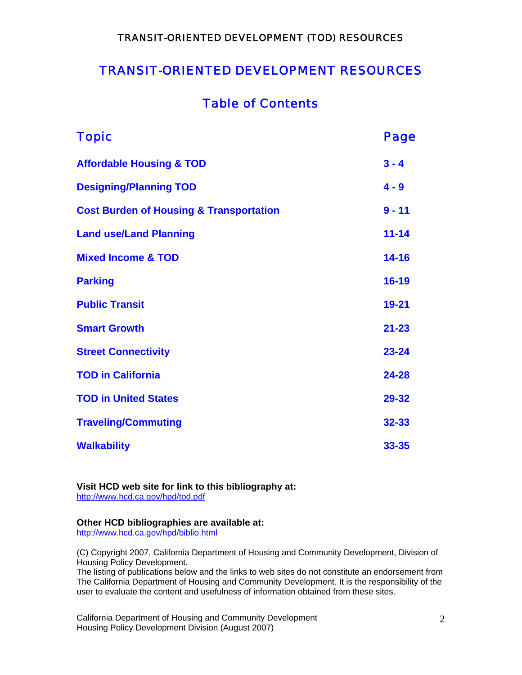### TRANSIT-ORIENTED DEVELOPMENT RESOURCES

### Table of Contents

| <b>Topic</b>                                       | Page      |
|----------------------------------------------------|-----------|
| <b>Affordable Housing &amp; TOD</b>                | $3 - 4$   |
| <b>Designing/Planning TOD</b>                      | $4 - 9$   |
| <b>Cost Burden of Housing &amp; Transportation</b> | $9 - 11$  |
| <b>Land use/Land Planning</b>                      | $11 - 14$ |
| <b>Mixed Income &amp; TOD</b>                      | $14 - 16$ |
| <b>Parking</b>                                     | $16 - 19$ |
| <b>Public Transit</b>                              | $19 - 21$ |
| <b>Smart Growth</b>                                | $21 - 23$ |
| <b>Street Connectivity</b>                         | $23 - 24$ |
| <b>TOD in California</b>                           | 24-28     |
| <b>TOD in United States</b>                        | 29-32     |
| <b>Traveling/Commuting</b>                         | 32-33     |
| <b>Walkability</b>                                 | 33-35     |

**Visit HCD web site for link to this bibliography at:**  <http://www.hcd.ca.gov/hpd/tod.pdf>

#### **Other HCD bibliographies are available at:**

<http://www.hcd.ca.gov/hpd/biblio.html>

(C) Copyright 2007, California Department of Housing and Community Development, Division of Housing Policy Development.

The listing of publications below and the links to web sites do not constitute an endorsement from The California Department of Housing and Community Development. It is the responsibility of the user to evaluate the content and usefulness of information obtained from these sites.

California Department of Housing and Community Development 2 Housing Policy Development Division (August 2007)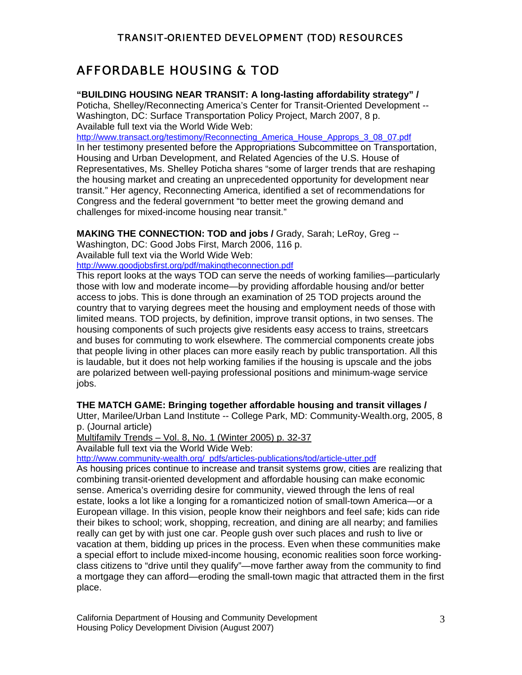### AFFORDABLE HOUSING & TOD

#### **"BUILDING HOUSING NEAR TRANSIT: A long-lasting affordability strategy" /**

Poticha, Shelley/Reconnecting America's Center for Transit-Oriented Development -- Washington, DC: Surface Transportation Policy Project, March 2007, 8 p. Available full text via the World Wide Web:

[http://www.transact.org/testimony/Reconnecting\\_America\\_House\\_Approps\\_3\\_08\\_07.pdf](http://www.transact.org/testimony/Reconnecting_America_House_Approps_3_08_07.pdf) In her testimony presented before the Appropriations Subcommittee on Transportation, Housing and Urban Development, and Related Agencies of the U.S. House of Representatives, Ms. Shelley Poticha shares "some of larger trends that are reshaping the housing market and creating an unprecedented opportunity for development near transit." Her agency, Reconnecting America, identified a set of recommendations for Congress and the federal government "to better meet the growing demand and challenges for mixed-income housing near transit."

#### **MAKING THE CONNECTION: TOD and jobs /** Grady, Sarah; LeRoy, Greg --

Washington, DC: Good Jobs First, March 2006, 116 p.

Available full text via the World Wide Web:

<http://www.goodjobsfirst.org/pdf/makingtheconnection.pdf>

This report looks at the ways TOD can serve the needs of working families—particularly those with low and moderate income—by providing affordable housing and/or better access to jobs. This is done through an examination of 25 TOD projects around the country that to varying degrees meet the housing and employment needs of those with limited means. TOD projects, by definition, improve transit options, in two senses. The housing components of such projects give residents easy access to trains, streetcars and buses for commuting to work elsewhere. The commercial components create jobs that people living in other places can more easily reach by public transportation. All this is laudable, but it does not help working families if the housing is upscale and the jobs are polarized between well-paying professional positions and minimum-wage service jobs.

#### **THE MATCH GAME: Bringing together affordable housing and transit villages /**

Utter, Marilee/Urban Land Institute -- College Park, MD: Community-Wealth.org, 2005, 8 p. (Journal article)

Multifamily Trends – Vol. 8, No. 1 (Winter 2005) p. 32-37

Available full text via the World Wide Web:

[http://www.community-wealth.org/\\_pdfs/articles-publications/tod/article-utter.pdf](http://www.community-wealth.org/_pdfs/articles-publications/tod/article-utter.pdf)

As housing prices continue to increase and transit systems grow, cities are realizing that combining transit-oriented development and affordable housing can make economic sense. America's overriding desire for community, viewed through the lens of real estate, looks a lot like a longing for a romanticized notion of small-town America—or a European village. In this vision, people know their neighbors and feel safe; kids can ride their bikes to school; work, shopping, recreation, and dining are all nearby; and families really can get by with just one car. People gush over such places and rush to live or vacation at them, bidding up prices in the process. Even when these communities make a special effort to include mixed-income housing, economic realities soon force workingclass citizens to "drive until they qualify"—move farther away from the community to find a mortgage they can afford—eroding the small-town magic that attracted them in the first place.

California Department of Housing and Community Development 3 Housing Policy Development Division (August 2007)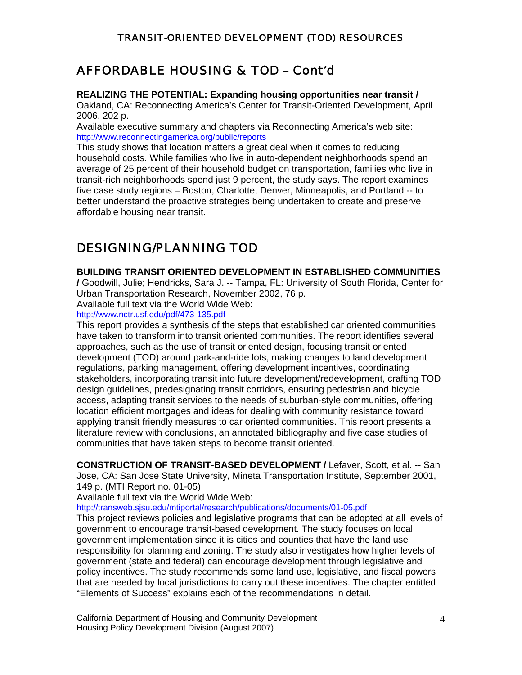### AFFORDABLE HOUSING & TOD – Cont'd

#### **REALIZING THE POTENTIAL: Expanding housing opportunities near transit /**

Oakland, CA: Reconnecting America's Center for Transit-Oriented Development, April 2006, 202 p.

Available executive summary and chapters via Reconnecting America's web site: <http://www.reconnectingamerica.org/public/reports>

This study shows that location matters a great deal when it comes to reducing household costs. While families who live in auto-dependent neighborhoods spend an average of 25 percent of their household budget on transportation, families who live in transit-rich neighborhoods spend just 9 percent, the study says. The report examines five case study regions – Boston, Charlotte, Denver, Minneapolis, and Portland -- to better understand the proactive strategies being undertaken to create and preserve affordable housing near transit.

### DESIGNING/PLANNING TOD

#### **BUILDING TRANSIT ORIENTED DEVELOPMENT IN ESTABLISHED COMMUNITIES**

**/** Goodwill, Julie; Hendricks, Sara J. -- Tampa, FL: University of South Florida, Center for Urban Transportation Research, November 2002, 76 p.

Available full text via the World Wide Web:

#### <http://www.nctr.usf.edu/pdf/473-135.pdf>

This report provides a synthesis of the steps that established car oriented communities have taken to transform into transit oriented communities. The report identifies several approaches, such as the use of transit oriented design, focusing transit oriented development (TOD) around park-and-ride lots, making changes to land development regulations, parking management, offering development incentives, coordinating stakeholders, incorporating transit into future development/redevelopment, crafting TOD design guidelines, predesignating transit corridors, ensuring pedestrian and bicycle access, adapting transit services to the needs of suburban-style communities, offering location efficient mortgages and ideas for dealing with community resistance toward applying transit friendly measures to car oriented communities. This report presents a literature review with conclusions, an annotated bibliography and five case studies of communities that have taken steps to become transit oriented.

**CONSTRUCTION OF TRANSIT-BASED DEVELOPMENT /** Lefaver, Scott, et al. -- San Jose, CA: San Jose State University, Mineta Transportation Institute, September 2001, 149 p. (MTI Report no. 01-05)

Available full text via the World Wide Web:

<http://transweb.sjsu.edu/mtiportal/research/publications/documents/01-05.pdf>

This project reviews policies and legislative programs that can be adopted at all levels of government to encourage transit-based development. The study focuses on local government implementation since it is cities and counties that have the land use responsibility for planning and zoning. The study also investigates how higher levels of government (state and federal) can encourage development through legislative and policy incentives. The study recommends some land use, legislative, and fiscal powers that are needed by local jurisdictions to carry out these incentives. The chapter entitled "Elements of Success" explains each of the recommendations in detail.

California Department of Housing and Community Development 4 Housing Policy Development Division (August 2007)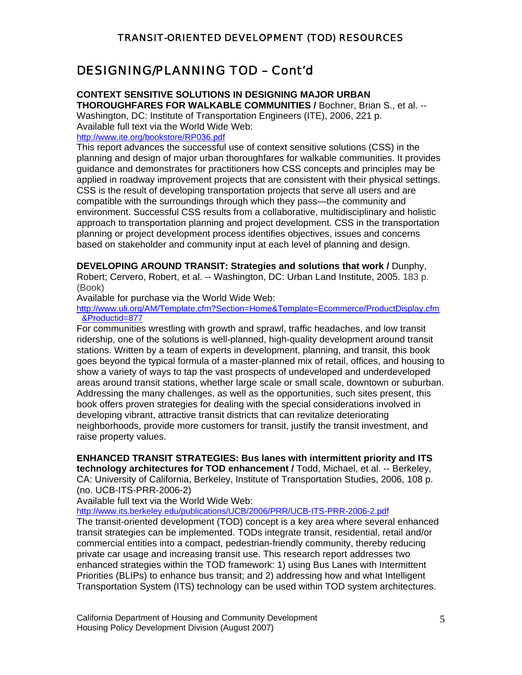### DESIGNING/PLANNING TOD – Cont'd

#### **CONTEXT SENSITIVE SOLUTIONS IN DESIGNING MAJOR URBAN**

**THOROUGHFARES FOR WALKABLE COMMUNITIES /** Bochner, Brian S., et al. -- Washington, DC: Institute of Transportation Engineers (ITE), 2006, 221 p. Available full text via the World Wide Web: <http://www.ite.org/bookstore/RP036.pdf>

This report advances the successful use of context sensitive solutions (CSS) in the planning and design of major urban thoroughfares for walkable communities. It provides guidance and demonstrates for practitioners how CSS concepts and principles may be applied in roadway improvement projects that are consistent with their physical settings. CSS is the result of developing transportation projects that serve all users and are compatible with the surroundings through which they pass—the community and environment. Successful CSS results from a collaborative, multidisciplinary and holistic approach to transportation planning and project development. CSS in the transportation planning or project development process identifies objectives, issues and concerns based on stakeholder and community input at each level of planning and design.

**DEVELOPING AROUND TRANSIT: Strategies and solutions that work /** Dunphy,

Robert; Cervero, Robert, et al. -- Washington, DC: Urban Land Institute, 2005. 183 p. (Book)

Available for purchase via the World Wide Web:

[http://www.uli.org/AM/Template.cfm?Section=Home&Template=Ecommerce/ProductDisplay.cfm](http://www.uli.org/AM/Template.cfm?Section=Home&Template=Ecommerce/ProductDisplay.cfm&Productid=877) [&Productid=877](http://www.uli.org/AM/Template.cfm?Section=Home&Template=Ecommerce/ProductDisplay.cfm&Productid=877)

For communities wrestling with growth and sprawl, traffic headaches, and low transit ridership, one of the solutions is well-planned, high-quality development around transit stations. Written by a team of experts in development, planning, and transit, this book goes beyond the typical formula of a master-planned mix of retail, offices, and housing to show a variety of ways to tap the vast prospects of undeveloped and underdeveloped areas around transit stations, whether large scale or small scale, downtown or suburban. Addressing the many challenges, as well as the opportunities, such sites present, this book offers proven strategies for dealing with the special considerations involved in developing vibrant, attractive transit districts that can revitalize deteriorating neighborhoods, provide more customers for transit, justify the transit investment, and raise property values.

**ENHANCED TRANSIT STRATEGIES: Bus lanes with intermittent priority and ITS** 

**technology architectures for TOD enhancement /** Todd, Michael, et al. -- Berkeley, CA: University of California, Berkeley, Institute of Transportation Studies, 2006, 108 p. (no. UCB-ITS-PRR-2006-2)

Available full text via the World Wide Web:

<http://www.its.berkeley.edu/publications/UCB/2006/PRR/UCB-ITS-PRR-2006-2.pdf>

The transit-oriented development (TOD) concept is a key area where several enhanced transit strategies can be implemented. TODs integrate transit, residential, retail and/or commercial entities into a compact, pedestrian-friendly community, thereby reducing private car usage and increasing transit use. This research report addresses two enhanced strategies within the TOD framework: 1) using Bus Lanes with Intermittent Priorities (BLIPs) to enhance bus transit; and 2) addressing how and what Intelligent Transportation System (ITS) technology can be used within TOD system architectures.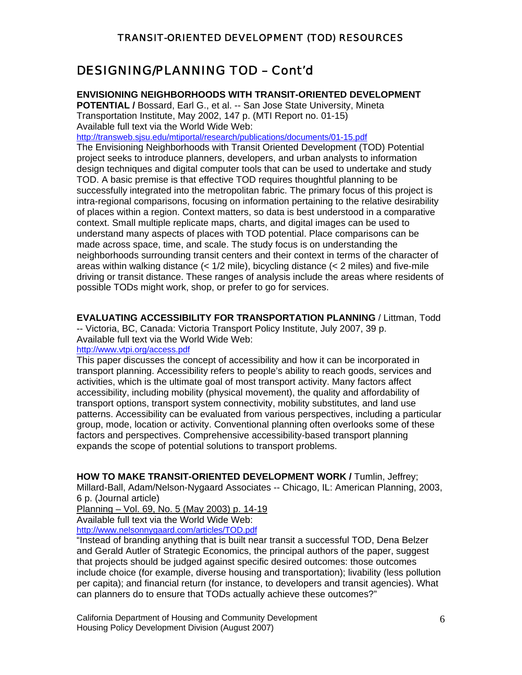### DESIGNING/PLANNING TOD – Cont'd

#### **ENVISIONING NEIGHBORHOODS WITH TRANSIT-ORIENTED DEVELOPMENT**

**POTENTIAL /** Bossard, Earl G., et al. -- San Jose State University, Mineta Transportation Institute, May 2002, 147 p. (MTI Report no. 01-15) Available full text via the World Wide Web:

<http://transweb.sjsu.edu/mtiportal/research/publications/documents/01-15.pdf>

The Envisioning Neighborhoods with Transit Oriented Development (TOD) Potential project seeks to introduce planners, developers, and urban analysts to information design techniques and digital computer tools that can be used to undertake and study TOD. A basic premise is that effective TOD requires thoughtful planning to be successfully integrated into the metropolitan fabric. The primary focus of this project is intra-regional comparisons, focusing on information pertaining to the relative desirability of places within a region. Context matters, so data is best understood in a comparative context. Small multiple replicate maps, charts, and digital images can be used to understand many aspects of places with TOD potential. Place comparisons can be made across space, time, and scale. The study focus is on understanding the neighborhoods surrounding transit centers and their context in terms of the character of areas within walking distance  $\left($  <  $1/2$  mile), bicycling distance  $\left($  < 2 miles) and five-mile driving or transit distance. These ranges of analysis include the areas where residents of possible TODs might work, shop, or prefer to go for services.

**EVALUATING ACCESSIBILITY FOR TRANSPORTATION PLANNING** / Littman, Todd -- Victoria, BC, Canada: Victoria Transport Policy Institute, July 2007, 39 p. Available full text via the World Wide Web:

<http://www.vtpi.org/access.pdf>

This paper discusses the concept of accessibility and how it can be incorporated in transport planning. Accessibility refers to people's ability to reach goods, services and activities, which is the ultimate goal of most transport activity. Many factors affect accessibility, including mobility (physical movement), the quality and affordability of transport options, transport system connectivity, mobility substitutes, and land use patterns. Accessibility can be evaluated from various perspectives, including a particular group, mode, location or activity. Conventional planning often overlooks some of these factors and perspectives. Comprehensive accessibility-based transport planning expands the scope of potential solutions to transport problems.

**HOW TO MAKE TRANSIT-ORIENTED DEVELOPMENT WORK /** Tumlin, Jeffrey; Millard-Ball, Adam/Nelson-Nygaard Associates -- Chicago, IL: American Planning, 2003, 6 p. (Journal article)

Planning – Vol. 69, No. 5 (May 2003) p. 14-19

Available full text via the World Wide Web:

<http://www.nelsonnygaard.com/articles/TOD.pdf>

"Instead of branding anything that is built near transit a successful TOD, Dena Belzer and Gerald Autler of Strategic Economics, the principal authors of the paper, suggest that projects should be judged against specific desired outcomes: those outcomes include choice (for example, diverse housing and transportation); livability (less pollution per capita); and financial return (for instance, to developers and transit agencies). What can planners do to ensure that TODs actually achieve these outcomes?"

California Department of Housing and Community Development **6** 6 Housing Policy Development Division (August 2007)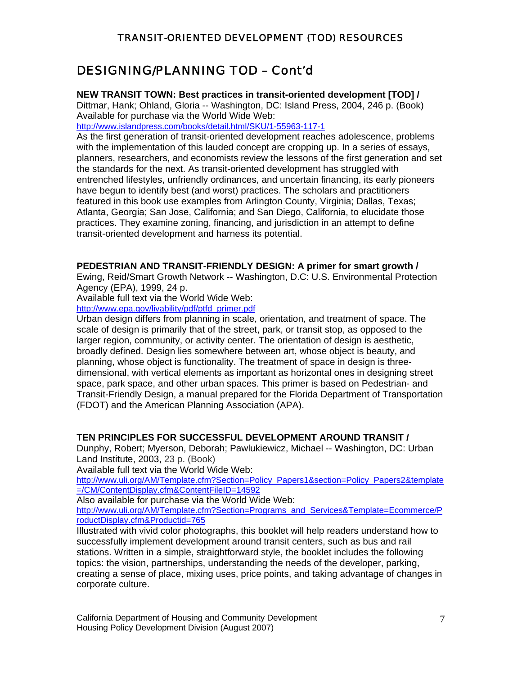### DESIGNING/PLANNING TOD – Cont'd

**NEW TRANSIT TOWN: Best practices in transit-oriented development [TOD] /**

Dittmar, Hank; Ohland, Gloria -- Washington, DC: Island Press, 2004, 246 p. (Book) Available for purchase via the World Wide Web:

http://www.islandpress.com/books/detail.html/SKU/1-55963-117-1

As the first generation of transit-oriented development reaches adolescence, problems with the implementation of this lauded concept are cropping up. In a series of essays, planners, researchers, and economists review the lessons of the first generation and set the standards for the next. As transit-oriented development has struggled with entrenched lifestyles, unfriendly ordinances, and uncertain financing, its early pioneers have begun to identify best (and worst) practices. The scholars and practitioners featured in this book use examples from Arlington County, Virginia; Dallas, Texas; Atlanta, Georgia; San Jose, California; and San Diego, California, to elucidate those practices. They examine zoning, financing, and jurisdiction in an attempt to define transit-oriented development and harness its potential.

#### **PEDESTRIAN AND TRANSIT-FRIENDLY DESIGN: A primer for smart growth /**

Ewing, Reid/Smart Growth Network -- Washington, D.C: U.S. Environmental Protection Agency (EPA), 1999, 24 p.

Available full text via the World Wide Web:

[http://www.epa.gov/livability/pdf/ptfd\\_primer.pdf](http://www.epa.gov/livability/pdf/ptfd_primer.pdf)

Urban design differs from planning in scale, orientation, and treatment of space. The scale of design is primarily that of the street, park, or transit stop, as opposed to the larger region, community, or activity center. The orientation of design is aesthetic, broadly defined. Design lies somewhere between art, whose object is beauty, and planning, whose object is functionality. The treatment of space in design is threedimensional, with vertical elements as important as horizontal ones in designing street space, park space, and other urban spaces. This primer is based on Pedestrian- and Transit-Friendly Design, a manual prepared for the Florida Department of Transportation (FDOT) and the American Planning Association (APA).

#### **TEN PRINCIPLES FOR SUCCESSFUL DEVELOPMENT AROUND TRANSIT /**

Dunphy, Robert; Myerson, Deborah; Pawlukiewicz, Michael -- Washington, DC: Urban Land Institute, 2003, 23 p. (Book)

Available full text via the World Wide Web:

[http://www.uli.org/AM/Template.cfm?Section=Policy\\_Papers1&section=Policy\\_Papers2&template](http://www.uli.org/AM/Template.cfm?Section=Policy_Papers1§ion=Policy_Papers2&template=/CM/ContentDisplay.cfm&ContentFileID=14592) [=/CM/ContentDisplay.cfm&ContentFileID=14592](http://www.uli.org/AM/Template.cfm?Section=Policy_Papers1§ion=Policy_Papers2&template=/CM/ContentDisplay.cfm&ContentFileID=14592)

Also available for purchase via the World Wide Web:

[http://www.uli.org/AM/Template.cfm?Section=Programs\\_and\\_Services&Template=Ecommerce/P](http://www.uli.org/AM/Template.cfm?Section=Programs_and_Services&Template=Ecommerce/ProductDisplay.cfm&Productid=765) [roductDisplay.cfm&Productid=765](http://www.uli.org/AM/Template.cfm?Section=Programs_and_Services&Template=Ecommerce/ProductDisplay.cfm&Productid=765)

Illustrated with vivid color photographs, this booklet will help readers understand how to successfully implement development around transit centers, such as bus and rail stations. Written in a simple, straightforward style, the booklet includes the following topics: the vision, partnerships, understanding the needs of the developer, parking, creating a sense of place, mixing uses, price points, and taking advantage of changes in corporate culture.

California Department of Housing and Community Development **7** and 7 Housing Policy Development Division (August 2007)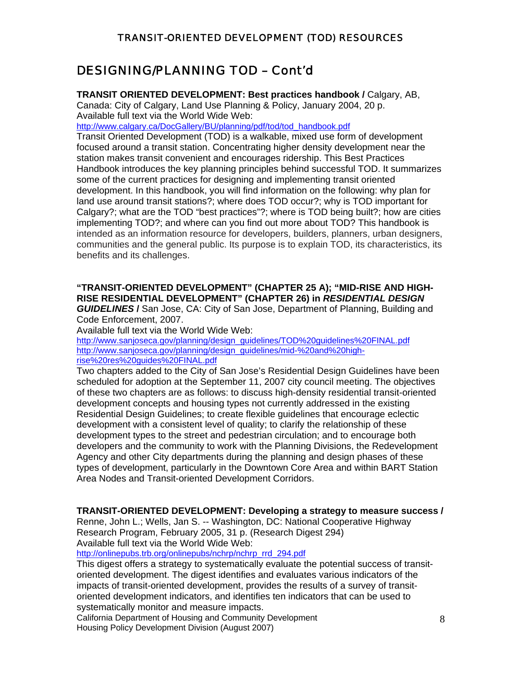### DESIGNING/PLANNING TOD – Cont'd

**TRANSIT ORIENTED DEVELOPMENT: Best practices handbook /** Calgary, AB,

Canada: City of Calgary, Land Use Planning & Policy, January 2004, 20 p. Available full text via the World Wide Web:

[http://www.calgary.ca/DocGallery/BU/planning/pdf/tod/tod\\_handbook.pdf](http://www.calgary.ca/DocGallery/BU/planning/pdf/tod/tod_handbook.pdf)

Transit Oriented Development (TOD) is a walkable, mixed use form of development focused around a transit station. Concentrating higher density development near the station makes transit convenient and encourages ridership. This Best Practices Handbook introduces the key planning principles behind successful TOD. It summarizes some of the current practices for designing and implementing transit oriented development. In this handbook, you will find information on the following: why plan for land use around transit stations?; where does TOD occur?; why is TOD important for Calgary?; what are the TOD "best practices"?; where is TOD being built?; how are cities implementing TOD?; and where can you find out more about TOD? This handbook is intended as an information resource for developers, builders, planners, urban designers, communities and the general public. Its purpose is to explain TOD, its characteristics, its benefits and its challenges.

#### **"TRANSIT-ORIENTED DEVELOPMENT" (CHAPTER 25 A); "MID-RISE AND HIGH-RISE RESIDENTIAL DEVELOPMENT" (CHAPTER 26) in** *RESIDENTIAL DESIGN GUIDELINES* **/** San Jose, CA: City of San Jose, Department of Planning, Building and

Code Enforcement, 2007.

Available full text via the World Wide Web:

[http://www.sanjoseca.gov/planning/design\\_guidelines/TOD%20guidelines%20FINAL.pdf](http://www.sanjoseca.gov/planning/design_guidelines/TOD%20guidelines%20FINAL.pdf) [http://www.sanjoseca.gov/planning/design\\_guidelines/mid-%20and%20high](http://www.sanjoseca.gov/planning/design_guidelines/mid-%20and%20high-rise%20res%20guides%20FINAL.pdf)[rise%20res%20guides%20FINAL.pdf](http://www.sanjoseca.gov/planning/design_guidelines/mid-%20and%20high-rise%20res%20guides%20FINAL.pdf)

Two chapters added to the City of San Jose's Residential Design Guidelines have been scheduled for adoption at the September 11, 2007 city council meeting. The objectives of these two chapters are as follows: to discuss high-density residential transit-oriented development concepts and housing types not currently addressed in the existing Residential Design Guidelines; to create flexible guidelines that encourage eclectic development with a consistent level of quality; to clarify the relationship of these development types to the street and pedestrian circulation; and to encourage both developers and the community to work with the Planning Divisions, the Redevelopment Agency and other City departments during the planning and design phases of these types of development, particularly in the Downtown Core Area and within BART Station Area Nodes and Transit-oriented Development Corridors.

#### **TRANSIT-ORIENTED DEVELOPMENT: Developing a strategy to measure success /**

Renne, John L.; Wells, Jan S. -- Washington, DC: National Cooperative Highway Research Program, February 2005, 31 p. (Research Digest 294) Available full text via the World Wide Web:

[http://onlinepubs.trb.org/onlinepubs/nchrp/nchrp\\_rrd\\_294.pdf](http://onlinepubs.trb.org/onlinepubs/nchrp/nchrp_rrd_294.pdf)

This digest offers a strategy to systematically evaluate the potential success of transitoriented development. The digest identifies and evaluates various indicators of the impacts of transit-oriented development, provides the results of a survey of transitoriented development indicators, and identifies ten indicators that can be used to systematically monitor and measure impacts.

California Department of Housing and Community Development **Example 2** 8 Housing Policy Development Division (August 2007)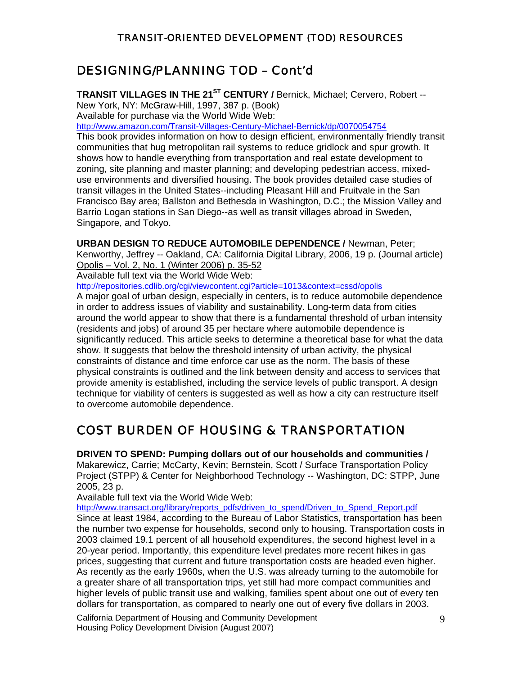### DESIGNING/PLANNING TOD – Cont'd

**TRANSIT VILLAGES IN THE 21<sup>ST</sup> CENTURY / Bernick, Michael; Cervero, Robert --**

New York, NY: McGraw-Hill, 1997, 387 p. (Book)

Available for purchase via the World Wide Web:

<http://www.amazon.com/Transit-Villages-Century-Michael-Bernick/dp/0070054754>

This book provides information on how to design efficient, environmentally friendly transit communities that hug metropolitan rail systems to reduce gridlock and spur growth. It shows how to handle everything from transportation and real estate development to zoning, site planning and master planning; and developing pedestrian access, mixeduse environments and diversified housing. The book provides detailed case studies of transit villages in the United States--including Pleasant Hill and Fruitvale in the San Francisco Bay area; Ballston and Bethesda in Washington, D.C.; the Mission Valley and Barrio Logan stations in San Diego--as well as transit villages abroad in Sweden, Singapore, and Tokyo.

**URBAN DESIGN TO REDUCE AUTOMOBILE DEPENDENCE /** Newman, Peter;

Kenworthy, Jeffrey -- Oakland, CA: California Digital Library, 2006, 19 p. (Journal article) Opolis – Vol. 2, No. 1 (Winter 2006) p. 35-52

Available full text via the World Wide Web:

<http://repositories.cdlib.org/cgi/viewcontent.cgi?article=1013&context=cssd/opolis>

A major goal of urban design, especially in centers, is to reduce automobile dependence in order to address issues of viability and sustainability. Long-term data from cities around the world appear to show that there is a fundamental threshold of urban intensity (residents and jobs) of around 35 per hectare where automobile dependence is significantly reduced. This article seeks to determine a theoretical base for what the data show. It suggests that below the threshold intensity of urban activity, the physical constraints of distance and time enforce car use as the norm. The basis of these physical constraints is outlined and the link between density and access to services that provide amenity is established, including the service levels of public transport. A design technique for viability of centers is suggested as well as how a city can restructure itself to overcome automobile dependence.

# COST BURDEN OF HOUSING & TRANSPORTATION

**DRIVEN TO SPEND: Pumping dollars out of our households and communities /** Makarewicz, Carrie; McCarty, Kevin; Bernstein, Scott / Surface Transportation Policy Project (STPP) & Center for Neighborhood Technology -- Washington, DC: STPP, June 2005, 23 p.

Available full text via the World Wide Web:

[http://www.transact.org/library/reports\\_pdfs/driven\\_to\\_spend/Driven\\_to\\_Spend\\_Report.pdf](http://www.transact.org/library/reports_pdfs/driven_to_spend/Driven_to_Spend_Report.pdf) Since at least 1984, according to the Bureau of Labor Statistics, transportation has been the number two expense for households, second only to housing. Transportation costs in 2003 claimed 19.1 percent of all household expenditures, the second highest level in a 20-year period. Importantly, this expenditure level predates more recent hikes in gas prices, suggesting that current and future transportation costs are headed even higher. As recently as the early 1960s, when the U.S. was already turning to the automobile for a greater share of all transportation trips, yet still had more compact communities and higher levels of public transit use and walking, families spent about one out of every ten dollars for transportation, as compared to nearly one out of every five dollars in 2003.

California Department of Housing and Community Development **Fig. 10.13 and 20.6** 9 Housing Policy Development Division (August 2007)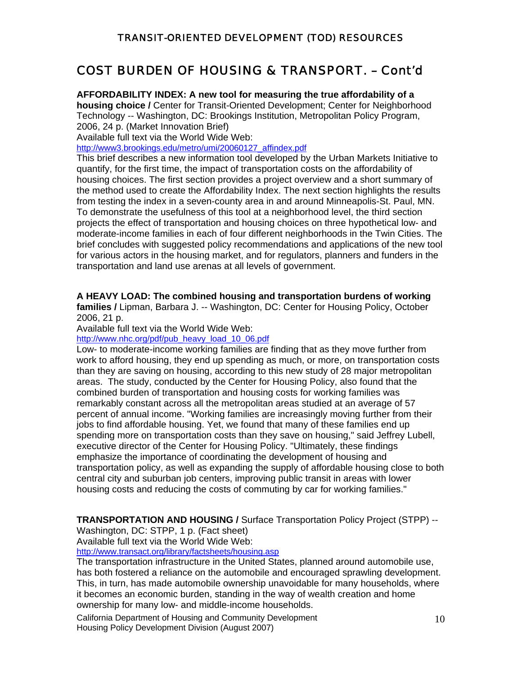### COST BURDEN OF HOUSING & TRANSPORT. – Cont'd

**AFFORDABILITY INDEX: A new tool for measuring the true affordability of a** 

**housing choice /** Center for Transit-Oriented Development; Center for Neighborhood Technology -- Washington, DC: Brookings Institution, Metropolitan Policy Program, 2006, 24 p. (Market Innovation Brief)

Available full text via the World Wide Web:

[http://www3.brookings.edu/metro/umi/20060127\\_affindex.pdf](http://www3.brookings.edu/metro/umi/20060127_affindex.pdf)

This brief describes a new information tool developed by the Urban Markets Initiative to quantify, for the first time, the impact of transportation costs on the affordability of housing choices. The first section provides a project overview and a short summary of the method used to create the Affordability Index. The next section highlights the results from testing the index in a seven-county area in and around Minneapolis-St. Paul, MN. To demonstrate the usefulness of this tool at a neighborhood level, the third section projects the effect of transportation and housing choices on three hypothetical low- and moderate-income families in each of four different neighborhoods in the Twin Cities. The brief concludes with suggested policy recommendations and applications of the new tool for various actors in the housing market, and for regulators, planners and funders in the transportation and land use arenas at all levels of government.

#### **A HEAVY LOAD: The combined housing and transportation burdens of working**

**families /** Lipman, Barbara J. -- Washington, DC: Center for Housing Policy, October 2006, 21 p.

Available full text via the World Wide Web:

[http://www.nhc.org/pdf/pub\\_heavy\\_load\\_10\\_06.pdf](http://www.nhc.org/pdf/pub_heavy_load_10_06.pdf)

Low- to moderate-income working families are finding that as they move further from work to afford housing, they end up spending as much, or more, on transportation costs than they are saving on housing, according to this new study of 28 major metropolitan areas. The study, conducted by the Center for Housing Policy, also found that the combined burden of transportation and housing costs for working families was remarkably constant across all the metropolitan areas studied at an average of 57 percent of annual income. "Working families are increasingly moving further from their jobs to find affordable housing. Yet, we found that many of these families end up spending more on transportation costs than they save on housing," said Jeffrey Lubell, executive director of the Center for Housing Policy. "Ultimately, these findings emphasize the importance of coordinating the development of housing and transportation policy, as well as expanding the supply of affordable housing close to both central city and suburban job centers, improving public transit in areas with lower housing costs and reducing the costs of commuting by car for working families."

**TRANSPORTATION AND HOUSING /** Surface Transportation Policy Project (STPP) --

Washington, DC: STPP, 1 p. (Fact sheet)

Available full text via the World Wide Web:

<http://www.transact.org/library/factsheets/housing.asp>

The transportation infrastructure in the United States, planned around automobile use, has both fostered a reliance on the automobile and encouraged sprawling development. This, in turn, has made automobile ownership unavoidable for many households, where it becomes an economic burden, standing in the way of wealth creation and home ownership for many low- and middle-income households.

California Department of Housing and Community Development and the state of 10 Housing Policy Development Division (August 2007)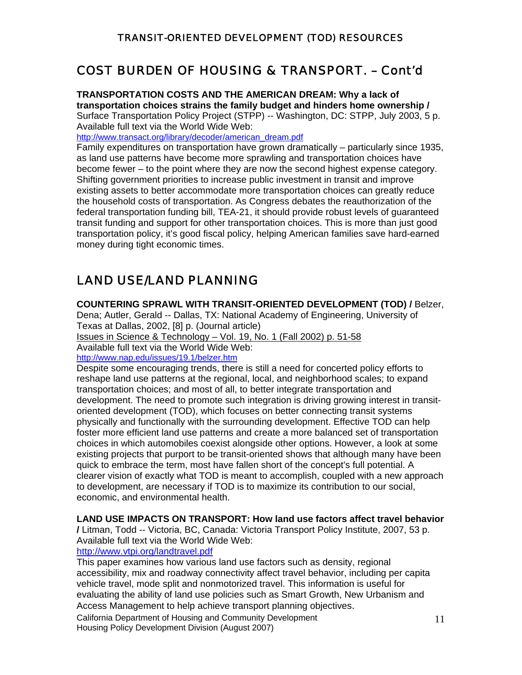# COST BURDEN OF HOUSING & TRANSPORT. – Cont'd

**TRANSPORTATION COSTS AND THE AMERICAN DREAM: Why a lack of transportation choices strains the family budget and hinders home ownership /** Surface Transportation Policy Project (STPP) -- Washington, DC: STPP, July 2003, 5 p. Available full text via the World Wide Web:

[http://www.transact.org/library/decoder/american\\_dream.pdf](http://www.transact.org/library/decoder/american_dream.pdf)

Family expenditures on transportation have grown dramatically – particularly since 1935, as land use patterns have become more sprawling and transportation choices have become fewer – to the point where they are now the second highest expense category. Shifting government priorities to increase public investment in transit and improve existing assets to better accommodate more transportation choices can greatly reduce the household costs of transportation. As Congress debates the reauthorization of the federal transportation funding bill, TEA-21, it should provide robust levels of guaranteed transit funding and support for other transportation choices. This is more than just good transportation policy, it's good fiscal policy, helping American families save hard-earned money during tight economic times.

# LAND USE/LAND PLANNING

**COUNTERING SPRAWL WITH TRANSIT-ORIENTED DEVELOPMENT (TOD) /** Belzer,

Dena; Autler, Gerald -- Dallas, TX: National Academy of Engineering, University of Texas at Dallas, 2002, [8] p. (Journal article)

Issues in Science & Technology – Vol. 19, No. 1 (Fall 2002) p. 51-58

Available full text via the World Wide Web: <http://www.nap.edu/issues/19.1/belzer.htm>

Despite some encouraging trends, there is still a need for concerted policy efforts to reshape land use patterns at the regional, local, and neighborhood scales; to expand transportation choices; and most of all, to better integrate transportation and development. The need to promote such integration is driving growing interest in transitoriented development (TOD), which focuses on better connecting transit systems physically and functionally with the surrounding development. Effective TOD can help foster more efficient land use patterns and create a more balanced set of transportation choices in which automobiles coexist alongside other options. However, a look at some existing projects that purport to be transit-oriented shows that although many have been quick to embrace the term, most have fallen short of the concept's full potential. A clearer vision of exactly what TOD is meant to accomplish, coupled with a new approach to development, are necessary if TOD is to maximize its contribution to our social, economic, and environmental health.

#### **LAND USE IMPACTS ON TRANSPORT: How land use factors affect travel behavior**

**/** Litman, Todd -- Victoria, BC, Canada: Victoria Transport Policy Institute, 2007, 53 p. Available full text via the World Wide Web:

#### <http://www.vtpi.org/landtravel.pdf>

This paper examines how various land use factors such as density, regional accessibility, mix and roadway connectivity affect travel behavior, including per capita vehicle travel, mode split and nonmotorized travel. This information is useful for evaluating the ability of land use policies such as Smart Growth, New Urbanism and Access Management to help achieve transport planning objectives.

California Department of Housing and Community Development **11** Housing Policy Development Division (August 2007)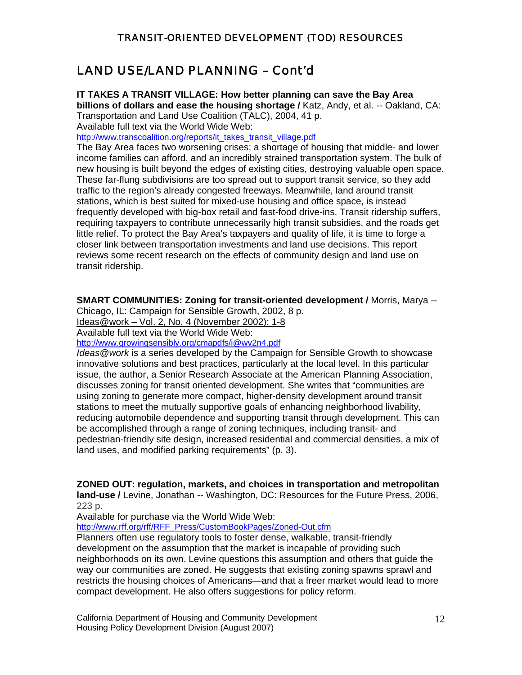### LAND USE/LAND PLANNING – Cont'd

#### **IT TAKES A TRANSIT VILLAGE: How better planning can save the Bay Area**

**billions of dollars and ease the housing shortage /** Katz, Andy, et al. -- Oakland, CA: Transportation and Land Use Coalition (TALC), 2004, 41 p. Available full text via the World Wide Web:

[http://www.transcoalition.org/reports/it\\_takes\\_transit\\_village.pdf](http://www.transcoalition.org/reports/it_takes_transit_village.pdf)

The Bay Area faces two worsening crises: a shortage of housing that middle- and lower income families can afford, and an incredibly strained transportation system. The bulk of new housing is built beyond the edges of existing cities, destroying valuable open space. These far-flung subdivisions are too spread out to support transit service, so they add traffic to the region's already congested freeways. Meanwhile, land around transit stations, which is best suited for mixed-use housing and office space, is instead frequently developed with big-box retail and fast-food drive-ins. Transit ridership suffers, requiring taxpayers to contribute unnecessarily high transit subsidies, and the roads get little relief. To protect the Bay Area's taxpayers and quality of life, it is time to forge a closer link between transportation investments and land use decisions. This report reviews some recent research on the effects of community design and land use on transit ridership.

**SMART COMMUNITIES: Zoning for transit-oriented development /** Morris, Marya --

Chicago, IL: Campaign for Sensible Growth, 2002, 8 p.

Ideas@work – Vol. 2, No. 4 (November 2002): 1-8

Available full text via the World Wide Web:

<http://www.growingsensibly.org/cmapdfs/i@wv2n4.pdf>

*Ideas@work* is a series developed by the Campaign for Sensible Growth to showcase innovative solutions and best practices, particularly at the local level. In this particular issue, the author, a Senior Research Associate at the American Planning Association, discusses zoning for transit oriented development. She writes that "communities are using zoning to generate more compact, higher-density development around transit stations to meet the mutually supportive goals of enhancing neighborhood livability, reducing automobile dependence and supporting transit through development. This can be accomplished through a range of zoning techniques, including transit- and pedestrian-friendly site design, increased residential and commercial densities, a mix of land uses, and modified parking requirements" (p. 3).

#### **ZONED OUT: regulation, markets, and choices in transportation and metropolitan**

**land-use /** Levine, Jonathan -- Washington, DC: Resources for the Future Press, 2006, 223 p.

Available for purchase via the World Wide Web:

[http://www.rff.org/rff/RFF\\_Press/CustomBookPages/Zoned-Out.cfm](http://www.rff.org/rff/RFF_Press/CustomBookPages/Zoned-Out.cfm)

Planners often use regulatory tools to foster dense, walkable, transit-friendly development on the assumption that the market is incapable of providing such neighborhoods on its own. Levine questions this assumption and others that guide the way our communities are zoned. He suggests that existing zoning spawns sprawl and restricts the housing choices of Americans—and that a freer market would lead to more compact development. He also offers suggestions for policy reform.

California Department of Housing and Community Development **12** Housing Policy Development Division (August 2007)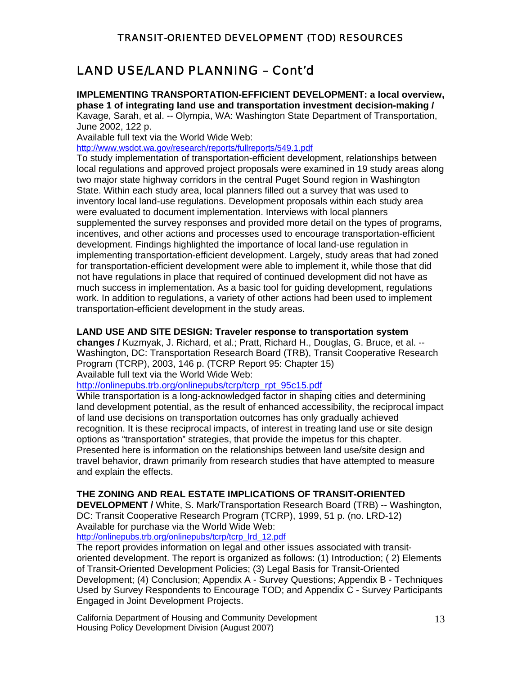### LAND USE/LAND PLANNING – Cont'd

**IMPLEMENTING TRANSPORTATION-EFFICIENT DEVELOPMENT: a local overview, phase 1 of integrating land use and transportation investment decision-making /** Kavage, Sarah, et al. -- Olympia, WA: Washington State Department of Transportation, June 2002, 122 p.

Available full text via the World Wide Web:

<http://www.wsdot.wa.gov/research/reports/fullreports/549.1.pdf>

To study implementation of transportation-efficient development, relationships between local regulations and approved project proposals were examined in 19 study areas along two major state highway corridors in the central Puget Sound region in Washington State. Within each study area, local planners filled out a survey that was used to inventory local land-use regulations. Development proposals within each study area were evaluated to document implementation. Interviews with local planners supplemented the survey responses and provided more detail on the types of programs, incentives, and other actions and processes used to encourage transportation-efficient development. Findings highlighted the importance of local land-use regulation in implementing transportation-efficient development. Largely, study areas that had zoned for transportation-efficient development were able to implement it, while those that did not have regulations in place that required of continued development did not have as much success in implementation. As a basic tool for guiding development, regulations work. In addition to regulations, a variety of other actions had been used to implement transportation-efficient development in the study areas.

#### **LAND USE AND SITE DESIGN: Traveler response to transportation system**

**changes /** Kuzmyak, J. Richard, et al.; Pratt, Richard H., Douglas, G. Bruce, et al. -- Washington, DC: Transportation Research Board (TRB), Transit Cooperative Research Program (TCRP), 2003, 146 p. (TCRP Report 95: Chapter 15)

Available full text via the World Wide Web:

[http://onlinepubs.trb.org/onlinepubs/tcrp/tcrp\\_rpt\\_95c15.pdf](http://onlinepubs.trb.org/onlinepubs/tcrp/tcrp_rpt_95c15.pdf)

While transportation is a long-acknowledged factor in shaping cities and determining land development potential, as the result of enhanced accessibility, the reciprocal impact of land use decisions on transportation outcomes has only gradually achieved recognition. It is these reciprocal impacts, of interest in treating land use or site design options as "transportation" strategies, that provide the impetus for this chapter. Presented here is information on the relationships between land use/site design and travel behavior, drawn primarily from research studies that have attempted to measure and explain the effects.

#### **THE ZONING AND REAL ESTATE IMPLICATIONS OF TRANSIT-ORIENTED**

**DEVELOPMENT /** White, S. Mark/Transportation Research Board (TRB) -- Washington, DC: Transit Cooperative Research Program (TCRP), 1999, 51 p. (no. LRD-12) Available for purchase via the World Wide Web:

[http://onlinepubs.trb.org/onlinepubs/tcrp/tcrp\\_lrd\\_12.pdf](http://onlinepubs.trb.org/onlinepubs/tcrp/tcrp_lrd_12.pdf)

The report provides information on legal and other issues associated with transitoriented development. The report is organized as follows: (1) Introduction; ( 2) Elements of Transit-Oriented Development Policies; (3) Legal Basis for Transit-Oriented Development; (4) Conclusion; Appendix A - Survey Questions; Appendix B - Techniques Used by Survey Respondents to Encourage TOD; and Appendix C - Survey Participants Engaged in Joint Development Projects.

California Department of Housing and Community Development 13 Housing Policy Development Division (August 2007)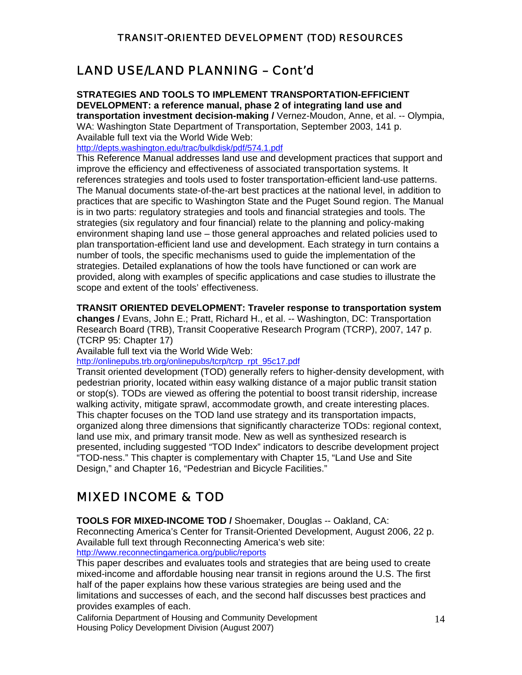### LAND USE/LAND PLANNING – Cont'd

**STRATEGIES AND TOOLS TO IMPLEMENT TRANSPORTATION-EFFICIENT DEVELOPMENT: a reference manual, phase 2 of integrating land use and transportation investment decision-making /** Vernez-Moudon, Anne, et al. -- Olympia,

WA: Washington State Department of Transportation, September 2003, 141 p. Available full text via the World Wide Web:

<http://depts.washington.edu/trac/bulkdisk/pdf/574.1.pdf>

This Reference Manual addresses land use and development practices that support and improve the efficiency and effectiveness of associated transportation systems. It references strategies and tools used to foster transportation-efficient land-use patterns. The Manual documents state-of-the-art best practices at the national level, in addition to practices that are specific to Washington State and the Puget Sound region. The Manual is in two parts: regulatory strategies and tools and financial strategies and tools. The strategies (six regulatory and four financial) relate to the planning and policy-making environment shaping land use – those general approaches and related policies used to plan transportation-efficient land use and development. Each strategy in turn contains a number of tools, the specific mechanisms used to guide the implementation of the strategies. Detailed explanations of how the tools have functioned or can work are provided, along with examples of specific applications and case studies to illustrate the scope and extent of the tools' effectiveness.

#### **TRANSIT ORIENTED DEVELOPMENT: Traveler response to transportation system**

**changes /** Evans, John E.; Pratt, Richard H., et al. -- Washington, DC: Transportation Research Board (TRB), Transit Cooperative Research Program (TCRP), 2007, 147 p. (TCRP 95: Chapter 17)

Available full text via the World Wide Web:

[http://onlinepubs.trb.org/onlinepubs/tcrp/tcrp\\_rpt\\_95c17.pdf](http://onlinepubs.trb.org/onlinepubs/tcrp/tcrp_rpt_95c17.pdf)

Transit oriented development (TOD) generally refers to higher-density development, with pedestrian priority, located within easy walking distance of a major public transit station or stop(s). TODs are viewed as offering the potential to boost transit ridership, increase walking activity, mitigate sprawl, accommodate growth, and create interesting places. This chapter focuses on the TOD land use strategy and its transportation impacts, organized along three dimensions that significantly characterize TODs: regional context, land use mix, and primary transit mode. New as well as synthesized research is presented, including suggested "TOD Index" indicators to describe development project "TOD-ness." This chapter is complementary with Chapter 15, "Land Use and Site Design," and Chapter 16, "Pedestrian and Bicycle Facilities."

# MIXED INCOME & TOD

**TOOLS FOR MIXED-INCOME TOD /** Shoemaker, Douglas -- Oakland, CA: Reconnecting America's Center for Transit-Oriented Development, August 2006, 22 p. Available full text through Reconnecting America's web site: <http://www.reconnectingamerica.org/public/reports>

This paper describes and evaluates tools and strategies that are being used to create mixed-income and affordable housing near transit in regions around the U.S. The first half of the paper explains how these various strategies are being used and the limitations and successes of each, and the second half discusses best practices and provides examples of each.

California Department of Housing and Community Development 14 Housing Policy Development Division (August 2007)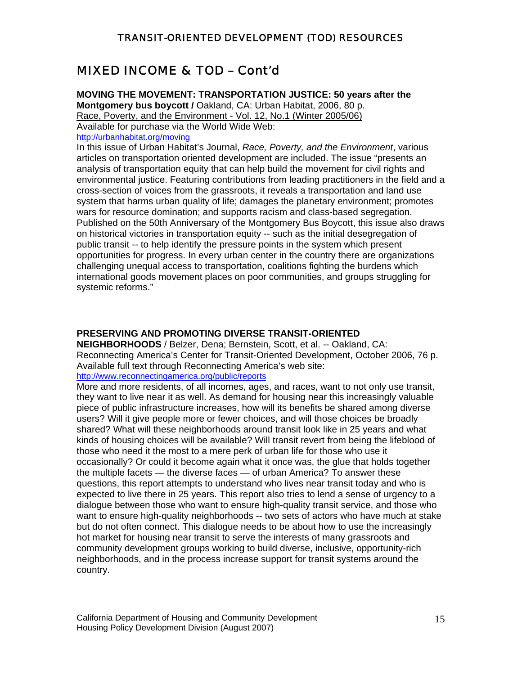### MIXED INCOME & TOD – Cont'd

**MOVING THE MOVEMENT: TRANSPORTATION JUSTICE: 50 years after the Montgomery bus boycott /** Oakland, CA: Urban Habitat, 2006, 80 p. Race, Poverty, and the Environment - Vol. 12, No.1 (Winter 2005/06) Available for purchase via the World Wide Web: <http://urbanhabitat.org/moving>

In this issue of Urban Habitat's Journal, *Race, Poverty, and the Environment*, various articles on transportation oriented development are included. The issue "presents an analysis of transportation equity that can help build the movement for civil rights and environmental justice. Featuring contributions from leading practitioners in the field and a cross-section of voices from the grassroots, it reveals a transportation and land use system that harms urban quality of life; damages the planetary environment; promotes wars for resource domination; and supports racism and class-based segregation. Published on the 50th Anniversary of the Montgomery Bus Boycott, this issue also draws on historical victories in transportation equity -- such as the initial desegregation of public transit -- to help identify the pressure points in the system which present opportunities for progress. In every urban center in the country there are organizations challenging unequal access to transportation, coalitions fighting the burdens which international goods movement places on poor communities, and groups struggling for systemic reforms."

#### **PRESERVING AND PROMOTING DIVERSE TRANSIT-ORIENTED**

**NEIGHBORHOODS** / Belzer, Dena; Bernstein, Scott, et al. -- Oakland, CA: Reconnecting America's Center for Transit-Oriented Development, October 2006, 76 p. Available full text through Reconnecting America's web site:

#### <http://www.reconnectingamerica.org/public/reports>

More and more residents, of all incomes, ages, and races, want to not only use transit, they want to live near it as well. As demand for housing near this increasingly valuable piece of public infrastructure increases, how will its benefits be shared among diverse users? Will it give people more or fewer choices, and will those choices be broadly shared? What will these neighborhoods around transit look like in 25 years and what kinds of housing choices will be available? Will transit revert from being the lifeblood of those who need it the most to a mere perk of urban life for those who use it occasionally? Or could it become again what it once was, the glue that holds together the multiple facets — the diverse faces — of urban America? To answer these questions, this report attempts to understand who lives near transit today and who is expected to live there in 25 years. This report also tries to lend a sense of urgency to a dialogue between those who want to ensure high-quality transit service, and those who want to ensure high-quality neighborhoods -- two sets of actors who have much at stake but do not often connect. This dialogue needs to be about how to use the increasingly hot market for housing near transit to serve the interests of many grassroots and community development groups working to build diverse, inclusive, opportunity-rich neighborhoods, and in the process increase support for transit systems around the country.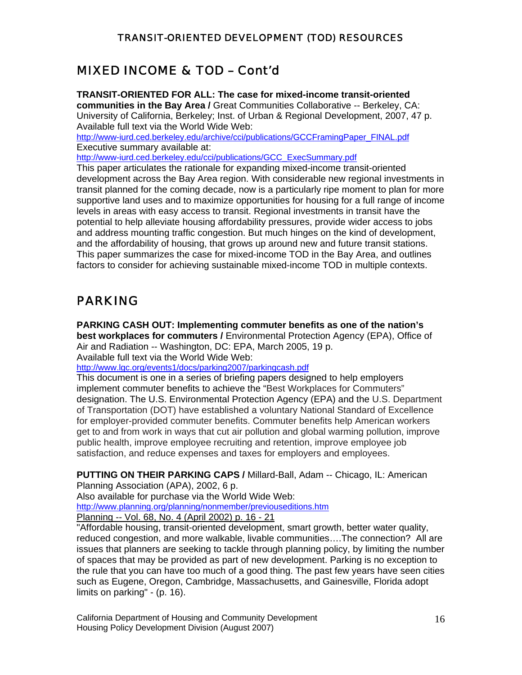# MIXED INCOME & TOD – Cont'd

**TRANSIT-ORIENTED FOR ALL: The case for mixed-income transit-oriented communities in the Bay Area /** Great Communities Collaborative -- Berkeley, CA: University of California, Berkeley; Inst. of Urban & Regional Development, 2007, 47 p. Available full text via the World Wide Web: [http://www-iurd.ced.berkeley.edu/archive/cci/publications/GCCFramingPaper\\_FINAL.pdf](http://www-iurd.ced.berkeley.edu/archive/cci/publications/GCCFramingPaper_FINAL.pdf) Executive summary available at: [http://www-iurd.ced.berkeley.edu/cci/publications/GCC\\_ExecSummary.pdf](http://www-iurd.ced.berkeley.edu/cci/publications/GCC_ExecSummary.pdf)

This paper articulates the rationale for expanding mixed-income transit-oriented development across the Bay Area region. With considerable new regional investments in transit planned for the coming decade, now is a particularly ripe moment to plan for more supportive land uses and to maximize opportunities for housing for a full range of income levels in areas with easy access to transit. Regional investments in transit have the potential to help alleviate housing affordability pressures, provide wider access to jobs and address mounting traffic congestion. But much hinges on the kind of development, and the affordability of housing, that grows up around new and future transit stations. This paper summarizes the case for mixed-income TOD in the Bay Area, and outlines factors to consider for achieving sustainable mixed-income TOD in multiple contexts.

# PARKING

**PARKING CASH OUT: Implementing commuter benefits as one of the nation's best workplaces for commuters /** Environmental Protection Agency (EPA), Office of Air and Radiation -- Washington, DC: EPA, March 2005, 19 p. Available full text via the World Wide Web:

<http://www.lgc.org/events1/docs/parking2007/parkingcash.pdf>

This document is one in a series of briefing papers designed to help employers implement commuter benefits to achieve the "Best Workplaces for Commuters" designation. The U.S. Environmental Protection Agency (EPA) and the U.S. Department of Transportation (DOT) have established a voluntary National Standard of Excellence for employer-provided commuter benefits. Commuter benefits help American workers get to and from work in ways that cut air pollution and global warming pollution, improve public health, improve employee recruiting and retention, improve employee job satisfaction, and reduce expenses and taxes for employers and employees.

**PUTTING ON THEIR PARKING CAPS /** Millard-Ball, Adam -- Chicago, IL: American

Planning Association (APA), 2002, 6 p. Also available for purchase via the World Wide Web: <http://www.planning.org/planning/nonmember/previouseditions.htm> Planning -- Vol. 68, No. 4 (April 2002) p. 16 - 21

"Affordable housing, transit-oriented development, smart growth, better water quality, reduced congestion, and more walkable, livable communities….The connection? All are issues that planners are seeking to tackle through planning policy, by limiting the number of spaces that may be provided as part of new development. Parking is no exception to the rule that you can have too much of a good thing. The past few years have seen cities such as Eugene, Oregon, Cambridge, Massachusetts, and Gainesville, Florida adopt limits on parking" - (p. 16).

California Department of Housing and Community Development and the state of 16 Housing Policy Development Division (August 2007)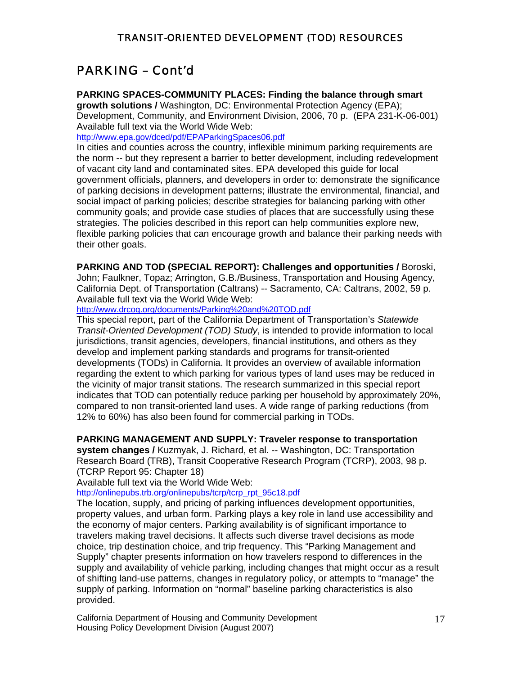# PARKING – Cont'd

#### **PARKING SPACES-COMMUNITY PLACES: Finding the balance through smart**

**growth solutions /** Washington, DC: Environmental Protection Agency (EPA); Development, Community, and Environment Division, 2006, 70 p. (EPA 231-K-06-001) Available full text via the World Wide Web:

<http://www.epa.gov/dced/pdf/EPAParkingSpaces06.pdf>

In cities and counties across the country, inflexible minimum parking requirements are the norm -- but they represent a barrier to better development, including redevelopment of vacant city land and contaminated sites. EPA developed this guide for local government officials, planners, and developers in order to: demonstrate the significance of parking decisions in development patterns; illustrate the environmental, financial, and social impact of parking policies; describe strategies for balancing parking with other community goals; and provide case studies of places that are successfully using these strategies. The policies described in this report can help communities explore new, flexible parking policies that can encourage growth and balance their parking needs with their other goals.

**PARKING AND TOD (SPECIAL REPORT): Challenges and opportunities /** Boroski, John; Faulkner, Topaz; Arrington, G.B./Business, Transportation and Housing Agency, California Dept. of Transportation (Caltrans) -- Sacramento, CA: Caltrans, 2002, 59 p. Available full text via the World Wide Web:

<http://www.drcog.org/documents/Parking%20and%20TOD.pdf>

This special report, part of the California Department of Transportation's *Statewide Transit-Oriented Development (TOD) Study*, is intended to provide information to local jurisdictions, transit agencies, developers, financial institutions, and others as they develop and implement parking standards and programs for transit-oriented developments (TODs) in California. It provides an overview of available information regarding the extent to which parking for various types of land uses may be reduced in the vicinity of major transit stations. The research summarized in this special report indicates that TOD can potentially reduce parking per household by approximately 20%, compared to non transit-oriented land uses. A wide range of parking reductions (from 12% to 60%) has also been found for commercial parking in TODs.

#### **PARKING MANAGEMENT AND SUPPLY: Traveler response to transportation**

**system changes /** Kuzmyak, J. Richard, et al. -- Washington, DC: Transportation Research Board (TRB), Transit Cooperative Research Program (TCRP), 2003, 98 p. (TCRP Report 95: Chapter 18)

Available full text via the World Wide Web:

[http://onlinepubs.trb.org/onlinepubs/tcrp/tcrp\\_rpt\\_95c18.pdf](http://onlinepubs.trb.org/onlinepubs/tcrp/tcrp_rpt_95c18.pdf) 

The location, supply, and pricing of parking influences development opportunities, property values, and urban form. Parking plays a key role in land use accessibility and the economy of major centers. Parking availability is of significant importance to travelers making travel decisions. It affects such diverse travel decisions as mode choice, trip destination choice, and trip frequency. This "Parking Management and Supply" chapter presents information on how travelers respond to differences in the supply and availability of vehicle parking, including changes that might occur as a result of shifting land-use patterns, changes in regulatory policy, or attempts to "manage" the supply of parking. Information on "normal" baseline parking characteristics is also provided.

California Department of Housing and Community Development 17 Housing Policy Development Division (August 2007)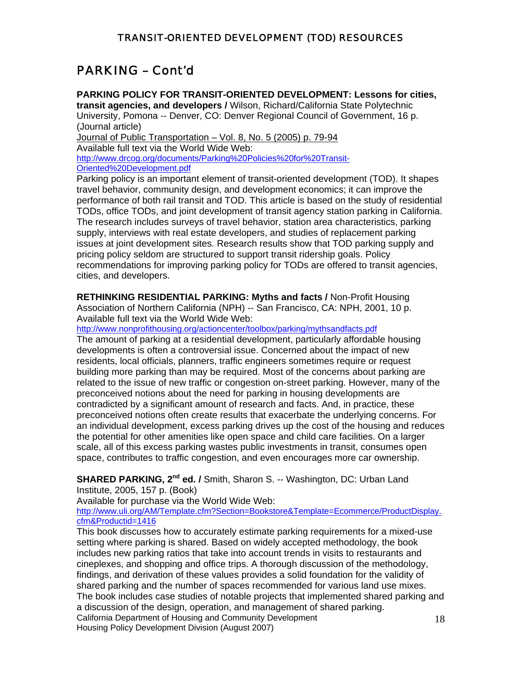# PARKING – Cont'd

**PARKING POLICY FOR TRANSIT-ORIENTED DEVELOPMENT: Lessons for cities, transit agencies, and developers /** Wilson, Richard/California State Polytechnic University, Pomona -- Denver, CO: Denver Regional Council of Government, 16 p. (Journal article) Journal of Public Transportation – Vol. 8, No. 5 (2005) p. 79-94

Available full text via the World Wide Web: [http://www.drcog.org/documents/Parking%20Policies%20for%20Transit-](http://www.drcog.org/documents/Parking%20Policies%20for%20Transit-Oriented%20Development.pdf)[Oriented%20Development.pdf](http://www.drcog.org/documents/Parking%20Policies%20for%20Transit-Oriented%20Development.pdf)

Parking policy is an important element of transit-oriented development (TOD). It shapes travel behavior, community design, and development economics; it can improve the performance of both rail transit and TOD. This article is based on the study of residential TODs, office TODs, and joint development of transit agency station parking in California. The research includes surveys of travel behavior, station area characteristics, parking supply, interviews with real estate developers, and studies of replacement parking issues at joint development sites. Research results show that TOD parking supply and pricing policy seldom are structured to support transit ridership goals. Policy recommendations for improving parking policy for TODs are offered to transit agencies, cities, and developers.

**RETHINKING RESIDENTIAL PARKING: Myths and facts /** Non-Profit Housing Association of Northern California (NPH) -- San Francisco, CA: NPH, 2001, 10 p. Available full text via the World Wide Web:

<http://www.nonprofithousing.org/actioncenter/toolbox/parking/mythsandfacts.pdf>

The amount of parking at a residential development, particularly affordable housing developments is often a controversial issue. Concerned about the impact of new residents, local officials, planners, traffic engineers sometimes require or request building more parking than may be required. Most of the concerns about parking are related to the issue of new traffic or congestion on-street parking. However, many of the preconceived notions about the need for parking in housing developments are contradicted by a significant amount of research and facts. And, in practice, these preconceived notions often create results that exacerbate the underlying concerns. For an individual development, excess parking drives up the cost of the housing and reduces the potential for other amenities like open space and child care facilities. On a larger scale, all of this excess parking wastes public investments in transit, consumes open space, contributes to traffic congestion, and even encourages more car ownership.

**SHARED PARKING, 2<sup>nd</sup> ed. /** Smith, Sharon S. -- Washington, DC: Urban Land

Institute, 2005, 157 p. (Book)

Available for purchase via the World Wide Web:

http://www.uli.org/AM/Template.cfm?Section=Bookstore&Template=Ecommerce/ProductDisplay. cfm&Productid=1416

This book discusses how to accurately estimate parking requirements for a mixed-use setting where parking is shared. Based on widely accepted methodology, the book includes new parking ratios that take into account trends in visits to restaurants and cineplexes, and shopping and office trips. A thorough discussion of the methodology, findings, and derivation of these values provides a solid foundation for the validity of shared parking and the number of spaces recommended for various land use mixes. California Department of Housing and Community Development **18** The book includes case studies of notable projects that implemented shared parking and a discussion of the design, operation, and management of shared parking. Housing Policy Development Division (August 2007)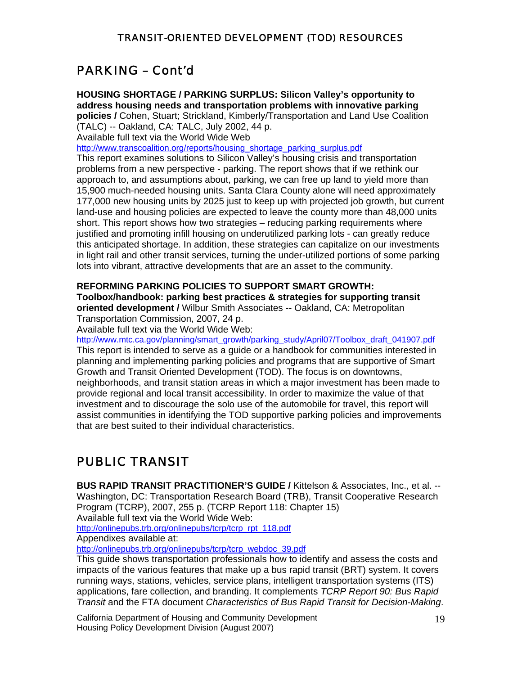# PARKING – Cont'd

**HOUSING SHORTAGE / PARKING SURPLUS: Silicon Valley's opportunity to address housing needs and transportation problems with innovative parking policies /** Cohen, Stuart; Strickland, Kimberly/Transportation and Land Use Coalition (TALC) -- Oakland, CA: TALC, July 2002, 44 p.

Available full text via the World Wide Web

[http://www.transcoalition.org/reports/housing\\_shortage\\_parking\\_surplus.pdf](http://www.transcoalition.org/reports/housing_shortage_parking_surplus.pdf)

This report examines solutions to Silicon Valley's housing crisis and transportation problems from a new perspective - parking. The report shows that if we rethink our approach to, and assumptions about, parking, we can free up land to yield more than 15,900 much-needed housing units. Santa Clara County alone will need approximately 177,000 new housing units by 2025 just to keep up with projected job growth, but current land-use and housing policies are expected to leave the county more than 48,000 units short. This report shows how two strategies – reducing parking requirements where justified and promoting infill housing on underutilized parking lots - can greatly reduce this anticipated shortage. In addition, these strategies can capitalize on our investments in light rail and other transit services, turning the under-utilized portions of some parking lots into vibrant, attractive developments that are an asset to the community.

#### **REFORMING PARKING POLICIES TO SUPPORT SMART GROWTH:**

**Toolbox/handbook: parking best practices & strategies for supporting transit oriented development /** Wilbur Smith Associates -- Oakland, CA: Metropolitan Transportation Commission, 2007, 24 p.

Available full text via the World Wide Web:

http://www.mtc.ca.gov/planning/smart\_growth/parking\_study/April07/Toolbox\_draft\_041907.pdf This report is intended to serve as a guide or a handbook for communities interested in planning and implementing parking policies and programs that are supportive of Smart Growth and Transit Oriented Development (TOD). The focus is on downtowns, neighborhoods, and transit station areas in which a major investment has been made to provide regional and local transit accessibility. In order to maximize the value of that investment and to discourage the solo use of the automobile for travel, this report will assist communities in identifying the TOD supportive parking policies and improvements that are best suited to their individual characteristics.

# PUBLIC TRANSIT

**BUS RAPID TRANSIT PRACTITIONER'S GUIDE /** Kittelson & Associates, Inc., et al. -- Washington, DC: Transportation Research Board (TRB), Transit Cooperative Research Program (TCRP), 2007, 255 p. (TCRP Report 118: Chapter 15) Available full text via the World Wide Web:

[http://onlinepubs.trb.org/onlinepubs/tcrp/tcrp\\_rpt\\_118.pdf](http://onlinepubs.trb.org/onlinepubs/tcrp/tcrp_rpt_118.pdf)

Appendixes available at:

[http://onlinepubs.trb.org/onlinepubs/tcrp/tcrp\\_webdoc\\_39.pdf](http://onlinepubs.trb.org/onlinepubs/tcrp/tcrp_webdoc_39.pdf)

This guide shows transportation professionals how to identify and assess the costs and impacts of the various features that make up a bus rapid transit (BRT) system. It covers running ways, stations, vehicles, service plans, intelligent transportation systems (ITS) applications, fare collection, and branding. It complements *TCRP Report 90: Bus Rapid Transit* and the FTA document *Characteristics of Bus Rapid Transit for Decision-Making*.

California Department of Housing and Community Development **19** Housing Policy Development Division (August 2007)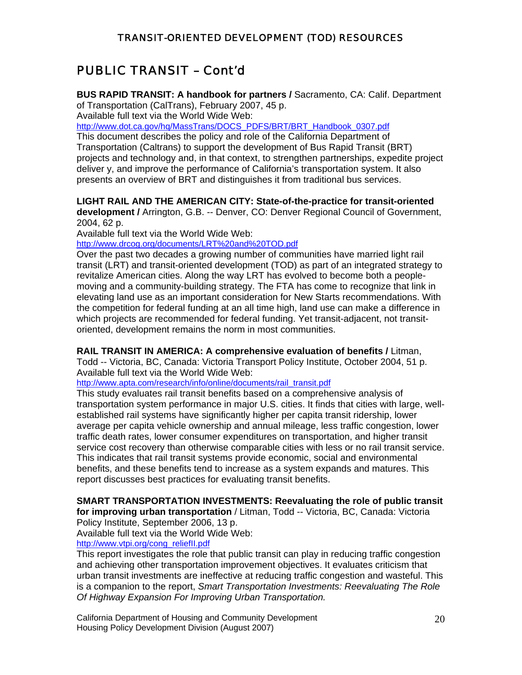# PUBLIC TRANSIT – Cont'd

**BUS RAPID TRANSIT: A handbook for partners /** Sacramento, CA: Calif. Department of Transportation (CalTrans), February 2007, 45 p.

Available full text via the World Wide Web:

[http://www.dot.ca.gov/hq/MassTrans/DOCS\\_PDFS/BRT/BRT\\_Handbook\\_0307.pdf](http://www.dot.ca.gov/hq/MassTrans/DOCS_PDFS/BRT/BRT_Handbook_0307.pdf)

This document describes the policy and role of the California Department of Transportation (Caltrans) to support the development of Bus Rapid Transit (BRT) projects and technology and, in that context, to strengthen partnerships, expedite project deliver y, and improve the performance of California's transportation system. It also presents an overview of BRT and distinguishes it from traditional bus services.

#### **LIGHT RAIL AND THE AMERICAN CITY: State-of-the-practice for transit-oriented**

**development /** Arrington, G.B. -- Denver, CO: Denver Regional Council of Government, 2004, 62 p.

Available full text via the World Wide Web:

<http://www.drcog.org/documents/LRT%20and%20TOD.pdf>

Over the past two decades a growing number of communities have married light rail transit (LRT) and transit-oriented development (TOD) as part of an integrated strategy to revitalize American cities. Along the way LRT has evolved to become both a peoplemoving and a community-building strategy. The FTA has come to recognize that link in elevating land use as an important consideration for New Starts recommendations. With the competition for federal funding at an all time high, land use can make a difference in which projects are recommended for federal funding. Yet transit-adjacent, not transitoriented, development remains the norm in most communities.

#### **RAIL TRANSIT IN AMERICA: A comprehensive evaluation of benefits /** Litman,

Todd -- Victoria, BC, Canada: Victoria Transport Policy Institute, October 2004, 51 p. Available full text via the World Wide Web:

[http://www.apta.com/research/info/online/documents/rail\\_transit.pdf](http://www.apta.com/research/info/online/documents/rail_transit.pdf)

This study evaluates rail transit benefits based on a comprehensive analysis of transportation system performance in major U.S. cities. It finds that cities with large, wellestablished rail systems have significantly higher per capita transit ridership, lower average per capita vehicle ownership and annual mileage, less traffic congestion, lower traffic death rates, lower consumer expenditures on transportation, and higher transit service cost recovery than otherwise comparable cities with less or no rail transit service. This indicates that rail transit systems provide economic, social and environmental benefits, and these benefits tend to increase as a system expands and matures. This report discusses best practices for evaluating transit benefits.

#### **SMART TRANSPORTATION INVESTMENTS: Reevaluating the role of public transit for improving urban transportation** / Litman, Todd -- Victoria, BC, Canada: Victoria

Policy Institute, September 2006, 13 p.

Available full text via the World Wide Web: [http://www.vtpi.org/cong\\_reliefII.pdf](http://www.vtpi.org/cong_reliefII.pdf)

This report investigates the role that public transit can play in reducing traffic congestion and achieving other transportation improvement objectives. It evaluates criticism that urban transit investments are ineffective at reducing traffic congestion and wasteful. This is a companion to the report, *Smart Transportation Investments: Reevaluating The Role Of Highway Expansion For Improving Urban Transportation.*

California Department of Housing and Community Development 20 Housing Policy Development Division (August 2007)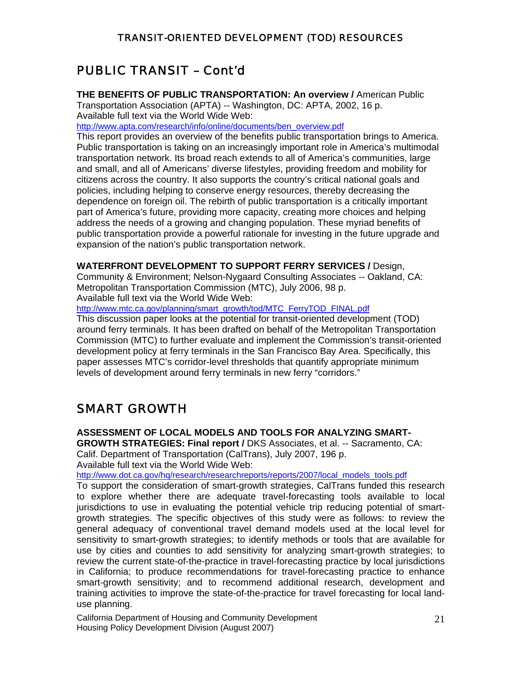# PUBLIC TRANSIT – Cont'd

**THE BENEFITS OF PUBLIC TRANSPORTATION: An overview /** American Public Transportation Association (APTA) -- Washington, DC: APTA, 2002, 16 p. Available full text via the World Wide Web:

[http://www.apta.com/research/info/online/documents/ben\\_overview.pdf](http://www.apta.com/research/info/online/documents/ben_overview.pdf)

This report provides an overview of the benefits public transportation brings to America. Public transportation is taking on an increasingly important role in America's multimodal transportation network. Its broad reach extends to all of America's communities, large and small, and all of Americans' diverse lifestyles, providing freedom and mobility for citizens across the country. It also supports the country's critical national goals and policies, including helping to conserve energy resources, thereby decreasing the dependence on foreign oil. The rebirth of public transportation is a critically important part of America's future, providing more capacity, creating more choices and helping address the needs of a growing and changing population. These myriad benefits of public transportation provide a powerful rationale for investing in the future upgrade and expansion of the nation's public transportation network.

#### **WATERFRONT DEVELOPMENT TO SUPPORT FERRY SERVICES /** Design,

Community & Environment; Nelson-Nygaard Consulting Associates -- Oakland, CA: Metropolitan Transportation Commission (MTC), July 2006, 98 p.

Available full text via the World Wide Web:

[http://www.mtc.ca.gov/planning/smart\\_growth/tod/MTC\\_FerryTOD\\_FINAL.pdf](http://www.mtc.ca.gov/planning/smart_growth/tod/MTC_FerryTOD_FINAL.pdf)

This discussion paper looks at the potential for transit-oriented development (TOD) around ferry terminals. It has been drafted on behalf of the Metropolitan Transportation Commission (MTC) to further evaluate and implement the Commission's transit-oriented development policy at ferry terminals in the San Francisco Bay Area. Specifically, this paper assesses MTC's corridor-level thresholds that quantify appropriate minimum levels of development around ferry terminals in new ferry "corridors."

### SMART GROWTH

**ASSESSMENT OF LOCAL MODELS AND TOOLS FOR ANALYZING SMART-**

**GROWTH STRATEGIES: Final report /** DKS Associates, et al. -- Sacramento, CA: Calif. Department of Transportation (CalTrans), July 2007, 196 p. Available full text via the World Wide Web:

[http://www.dot.ca.gov/hq/research/researchreports/reports/2007/local\\_models\\_tools.pdf](http://www.dot.ca.gov/hq/research/researchreports/reports/2007/local_models_tools.pdf)

To support the consideration of smart-growth strategies, CalTrans funded this research to explore whether there are adequate travel-forecasting tools available to local jurisdictions to use in evaluating the potential vehicle trip reducing potential of smartgrowth strategies. The specific objectives of this study were as follows: to review the general adequacy of conventional travel demand models used at the local level for sensitivity to smart-growth strategies; to identify methods or tools that are available for use by cities and counties to add sensitivity for analyzing smart-growth strategies; to review the current state-of-the-practice in travel-forecasting practice by local jurisdictions in California; to produce recommendations for travel-forecasting practice to enhance smart-growth sensitivity; and to recommend additional research, development and training activities to improve the state-of-the-practice for travel forecasting for local landuse planning.

California Department of Housing and Community Development 21 Housing Policy Development Division (August 2007)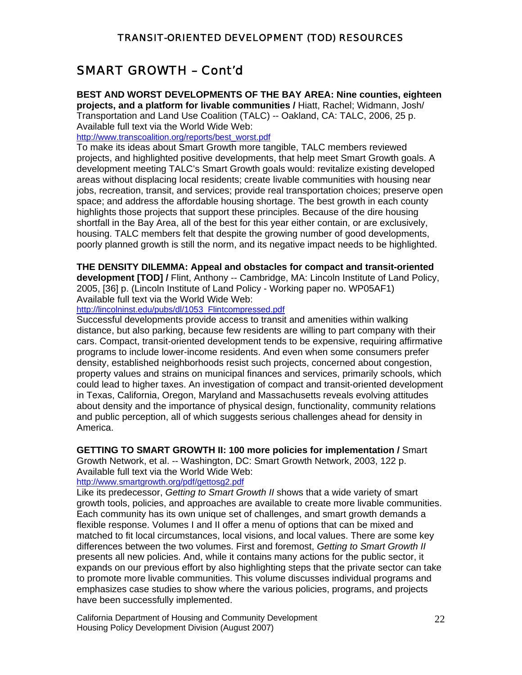### SMART GROWTH – Cont'd

**BEST AND WORST DEVELOPMENTS OF THE BAY AREA: Nine counties, eighteen projects, and a platform for livable communities /** Hiatt, Rachel; Widmann, Josh/ Transportation and Land Use Coalition (TALC) -- Oakland, CA: TALC, 2006, 25 p. Available full text via the World Wide Web:

[http://www.transcoalition.org/reports/best\\_worst.pdf](http://www.transcoalition.org/reports/best_worst.pdf)

To make its ideas about Smart Growth more tangible, TALC members reviewed projects, and highlighted positive developments, that help meet Smart Growth goals. A development meeting TALC's Smart Growth goals would: revitalize existing developed areas without displacing local residents; create livable communities with housing near jobs, recreation, transit, and services; provide real transportation choices; preserve open space; and address the affordable housing shortage. The best growth in each county highlights those projects that support these principles. Because of the dire housing shortfall in the Bay Area, all of the best for this year either contain, or are exclusively, housing. TALC members felt that despite the growing number of good developments, poorly planned growth is still the norm, and its negative impact needs to be highlighted.

**THE DENSITY DILEMMA: Appeal and obstacles for compact and transit-oriented** 

**development [TOD] /** Flint, Anthony -- Cambridge, MA: Lincoln Institute of Land Policy, 2005, [36] p. (Lincoln Institute of Land Policy - Working paper no. WP05AF1) Available full text via the World Wide Web:

[http://lincolninst.edu/pubs/dl/1053\\_Flintcompressed.pdf](http://lincolninst.edu/pubs/dl/1053_Flintcompressed.pdf)

Successful developments provide access to transit and amenities within walking distance, but also parking, because few residents are willing to part company with their cars. Compact, transit-oriented development tends to be expensive, requiring affirmative programs to include lower-income residents. And even when some consumers prefer density, established neighborhoods resist such projects, concerned about congestion, property values and strains on municipal finances and services, primarily schools, which could lead to higher taxes. An investigation of compact and transit-oriented development in Texas, California, Oregon, Maryland and Massachusetts reveals evolving attitudes about density and the importance of physical design, functionality, community relations and public perception, all of which suggests serious challenges ahead for density in America.

**GETTING TO SMART GROWTH II: 100 more policies for implementation /** Smart Growth Network, et al. -- Washington, DC: Smart Growth Network, 2003, 122 p.

Available full text via the World Wide Web:

#### <http://www.smartgrowth.org/pdf/gettosg2.pdf>

Like its predecessor, *Getting to Smart Growth II* shows that a wide variety of smart growth tools, policies, and approaches are available to create more livable communities. Each community has its own unique set of challenges, and smart growth demands a flexible response. Volumes I and II offer a menu of options that can be mixed and matched to fit local circumstances, local visions, and local values. There are some key differences between the two volumes. First and foremost, *Getting to Smart Growth II*  presents all new policies. And, while it contains many actions for the public sector, it expands on our previous effort by also highlighting steps that the private sector can take to promote more livable communities. This volume discusses individual programs and emphasizes case studies to show where the various policies, programs, and projects have been successfully implemented.

California Department of Housing and Community Development 22 Housing Policy Development Division (August 2007)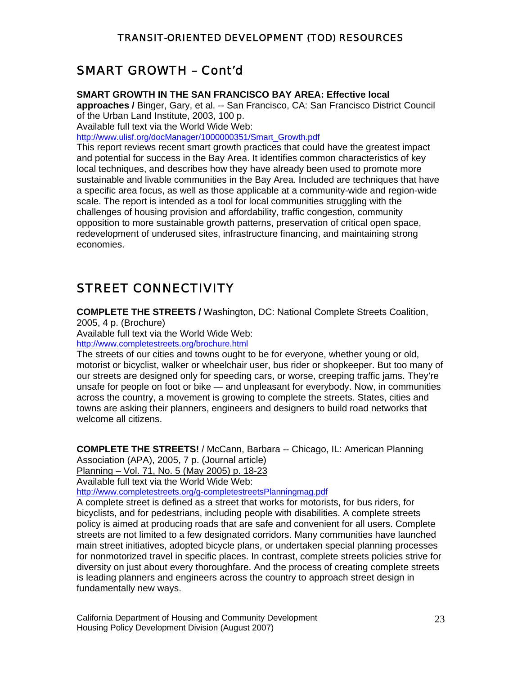### SMART GROWTH – Cont'd

#### **SMART GROWTH IN THE SAN FRANCISCO BAY AREA: Effective local**

**approaches /** Binger, Gary, et al. -- San Francisco, CA: San Francisco District Council of the Urban Land Institute, 2003, 100 p.

Available full text via the World Wide Web:

[http://www.ulisf.org/docManager/1000000351/Smart\\_Growth.pdf](http://www.ulisf.org/docManager/1000000351/Smart_Growth.pdf)

This report reviews recent smart growth practices that could have the greatest impact and potential for success in the Bay Area. It identifies common characteristics of key local techniques, and describes how they have already been used to promote more sustainable and livable communities in the Bay Area. Included are techniques that have a specific area focus, as well as those applicable at a community-wide and region-wide scale. The report is intended as a tool for local communities struggling with the challenges of housing provision and affordability, traffic congestion, community opposition to more sustainable growth patterns, preservation of critical open space, redevelopment of underused sites, infrastructure financing, and maintaining strong economies.

# STREET CONNECTIVITY

**COMPLETE THE STREETS /** Washington, DC: National Complete Streets Coalition,

2005, 4 p. (Brochure)

Available full text via the World Wide Web: <http://www.completestreets.org/brochure.html>

The streets of our cities and towns ought to be for everyone, whether young or old, motorist or bicyclist, walker or wheelchair user, bus rider or shopkeeper. But too many of our streets are designed only for speeding cars, or worse, creeping traffic jams. They're unsafe for people on foot or bike — and unpleasant for everybody. Now, in communities across the country, a movement is growing to complete the streets. States, cities and towns are asking their planners, engineers and designers to build road networks that welcome all citizens.

**COMPLETE THE STREETS!** / McCann, Barbara -- Chicago, IL: American Planning Association (APA), 2005, 7 p. (Journal article)

Planning – Vol. 71, No. 5 (May 2005) p. 18-23

Available full text via the World Wide Web:

<http://www.completestreets.org/g-completestreetsPlanningmag.pdf>

A complete street is defined as a street that works for motorists, for bus riders, for bicyclists, and for pedestrians, including people with disabilities. A complete streets policy is aimed at producing roads that are safe and convenient for all users. Complete streets are not limited to a few designated corridors. Many communities have launched main street initiatives, adopted bicycle plans, or undertaken special planning processes for nonmotorized travel in specific places. In contrast, complete streets policies strive for diversity on just about every thoroughfare. And the process of creating complete streets is leading planners and engineers across the country to approach street design in fundamentally new ways.

California Department of Housing and Community Development 23 Housing Policy Development Division (August 2007)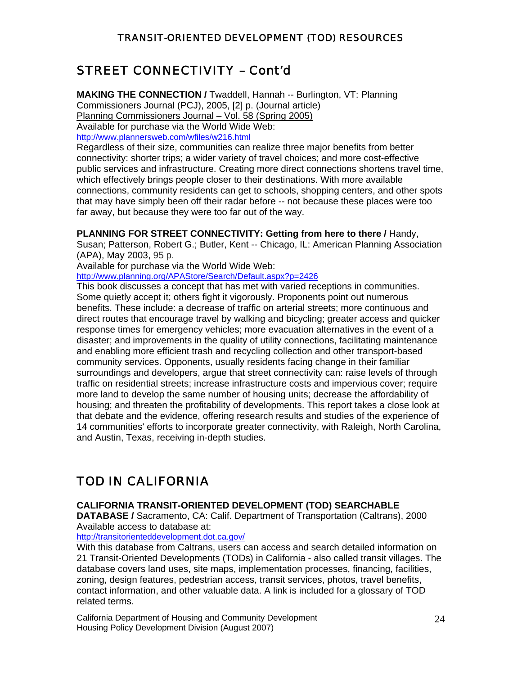# STREET CONNECTIVITY – Cont'd

**MAKING THE CONNECTION /** Twaddell, Hannah -- Burlington, VT: Planning Commissioners Journal (PCJ), 2005, [2] p. (Journal article) Planning Commissioners Journal – Vol. 58 (Spring 2005) Available for purchase via the World Wide Web: <http://www.plannersweb.com/wfiles/w216.html>

Regardless of their size, communities can realize three major benefits from better connectivity: shorter trips; a wider variety of travel choices; and more cost-effective public services and infrastructure. Creating more direct connections shortens travel time, which effectively brings people closer to their destinations. With more available connections, community residents can get to schools, shopping centers, and other spots that may have simply been off their radar before -- not because these places were too far away, but because they were too far out of the way.

**PLANNING FOR STREET CONNECTIVITY: Getting from here to there /** Handy,

Susan; Patterson, Robert G.; Butler, Kent -- Chicago, IL: American Planning Association (APA), May 2003, 95 p.

Available for purchase via the World Wide Web:

<http://www.planning.org/APAStore/Search/Default.aspx?p=2426>

This book discusses a concept that has met with varied receptions in communities. Some quietly accept it; others fight it vigorously. Proponents point out numerous benefits. These include: a decrease of traffic on arterial streets; more continuous and direct routes that encourage travel by walking and bicycling; greater access and quicker response times for emergency vehicles; more evacuation alternatives in the event of a disaster; and improvements in the quality of utility connections, facilitating maintenance and enabling more efficient trash and recycling collection and other transport-based community services. Opponents, usually residents facing change in their familiar surroundings and developers, argue that street connectivity can: raise levels of through traffic on residential streets; increase infrastructure costs and impervious cover; require more land to develop the same number of housing units; decrease the affordability of housing; and threaten the profitability of developments. This report takes a close look at that debate and the evidence, offering research results and studies of the experience of 14 communities' efforts to incorporate greater connectivity, with Raleigh, North Carolina, and Austin, Texas, receiving in-depth studies.

# TOD IN CALIFORNIA

#### **CALIFORNIA TRANSIT-ORIENTED DEVELOPMENT (TOD) SEARCHABLE**

**DATABASE /** Sacramento, CA: Calif. Department of Transportation (Caltrans), 2000 Available access to database at:

<http://transitorienteddevelopment.dot.ca.gov/>

With this database from Caltrans, users can access and search detailed information on 21 Transit-Oriented Developments (TODs) in California - also called transit villages. The database covers land uses, site maps, implementation processes, financing, facilities, zoning, design features, pedestrian access, transit services, photos, travel benefits, contact information, and other valuable data. A link is included for a glossary of TOD related terms.

California Department of Housing and Community Development 24 Housing Policy Development Division (August 2007)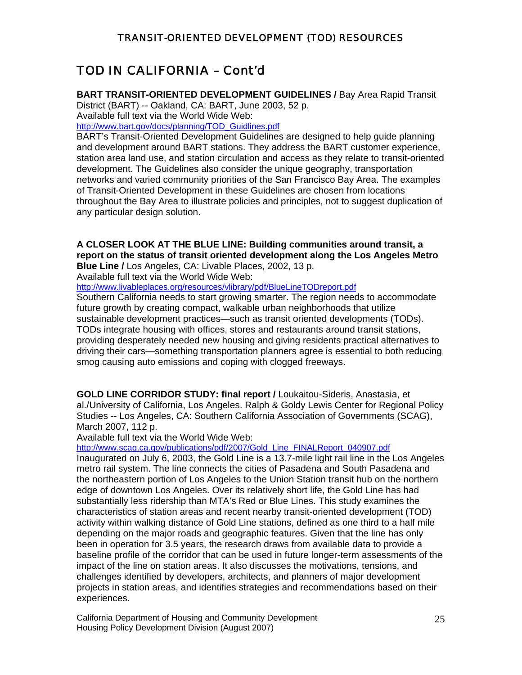# TOD IN CALIFORNIA – Cont'd

**BART TRANSIT-ORIENTED DEVELOPMENT GUIDELINES /** Bay Area Rapid Transit District (BART) -- Oakland, CA: BART, June 2003, 52 p. Available full text via the World Wide Web:

[http://www.bart.gov/docs/planning/TOD\\_Guidlines.pdf](http://www.bart.gov/docs/planning/TOD_Guidlines.pdf)

BART's Transit-Oriented Development Guidelines are designed to help guide planning and development around BART stations. They address the BART customer experience, station area land use, and station circulation and access as they relate to transit-oriented development. The Guidelines also consider the unique geography, transportation networks and varied community priorities of the San Francisco Bay Area. The examples of Transit-Oriented Development in these Guidelines are chosen from locations throughout the Bay Area to illustrate policies and principles, not to suggest duplication of any particular design solution.

### **A CLOSER LOOK AT THE BLUE LINE: Building communities around transit, a report on the status of transit oriented development along the Los Angeles Metro**

**Blue Line /** Los Angeles, CA: Livable Places, 2002, 13 p.

Available full text via the World Wide Web:

<http://www.livableplaces.org/resources/vlibrary/pdf/BlueLineTODreport.pdf>

Southern California needs to start growing smarter. The region needs to accommodate future growth by creating compact, walkable urban neighborhoods that utilize sustainable development practices—such as transit oriented developments (TODs). TODs integrate housing with offices, stores and restaurants around transit stations, providing desperately needed new housing and giving residents practical alternatives to driving their cars—something transportation planners agree is essential to both reducing smog causing auto emissions and coping with clogged freeways.

**GOLD LINE CORRIDOR STUDY: final report /** Loukaitou-Sideris, Anastasia, et al./University of California, Los Angeles. Ralph & Goldy Lewis Center for Regional Policy Studies -- Los Angeles, CA: Southern California Association of Governments (SCAG), March 2007, 112 p.

Available full text via the World Wide Web:

[http://www.scag.ca.gov/publications/pdf/2007/Gold\\_Line\\_FINALReport\\_040907.pdf](http://www.scag.ca.gov/publications/pdf/2007/Gold_Line_FINALReport_040907.pdf)

Inaugurated on July 6, 2003, the Gold Line is a 13.7-mile light rail line in the Los Angeles metro rail system. The line connects the cities of Pasadena and South Pasadena and the northeastern portion of Los Angeles to the Union Station transit hub on the northern edge of downtown Los Angeles. Over its relatively short life, the Gold Line has had substantially less ridership than MTA's Red or Blue Lines. This study examines the characteristics of station areas and recent nearby transit-oriented development (TOD) activity within walking distance of Gold Line stations, defined as one third to a half mile depending on the major roads and geographic features. Given that the line has only been in operation for 3.5 years, the research draws from available data to provide a baseline profile of the corridor that can be used in future longer-term assessments of the impact of the line on station areas. It also discusses the motivations, tensions, and challenges identified by developers, architects, and planners of major development projects in station areas, and identifies strategies and recommendations based on their experiences.

California Department of Housing and Community Development 25 Housing Policy Development Division (August 2007)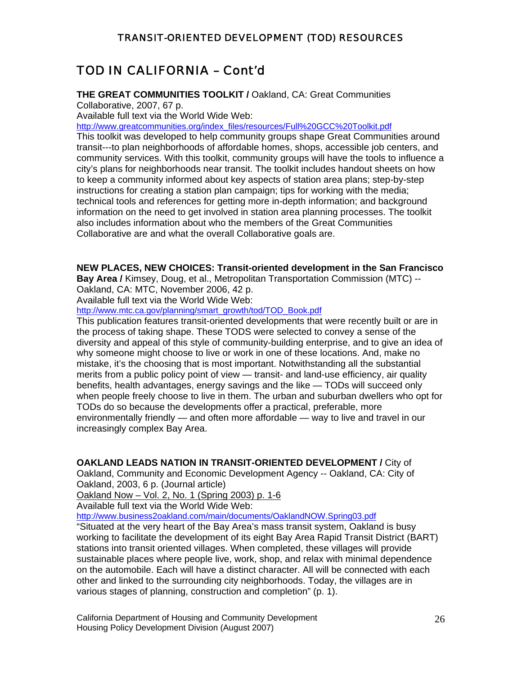### TOD IN CALIFORNIA – Cont'd

#### **THE GREAT COMMUNITIES TOOLKIT /** Oakland, CA: Great Communities

Collaborative, 2007, 67 p.

Available full text via the World Wide Web:

[http://www.greatcommunities.org/index\\_files/resources/Full%20GCC%20Toolkit.pdf](http://www.greatcommunities.org/index_files/resources/Full%20GCC%20Toolkit.pdf)

This toolkit was developed to help community groups shape Great Communities around transit---to plan neighborhoods of affordable homes, shops, accessible job centers, and community services. With this toolkit, community groups will have the tools to influence a city's plans for neighborhoods near transit. The toolkit includes handout sheets on how to keep a community informed about key aspects of station area plans; step-by-step instructions for creating a station plan campaign; tips for working with the media; technical tools and references for getting more in-depth information; and background information on the need to get involved in station area planning processes. The toolkit also includes information about who the members of the Great Communities Collaborative are and what the overall Collaborative goals are.

#### **NEW PLACES, NEW CHOICES: Transit-oriented development in the San Francisco**

**Bay Area /** Kimsey, Doug, et al., Metropolitan Transportation Commission (MTC) -- Oakland, CA: MTC, November 2006, 42 p.

Available full text via the World Wide Web:

[http://www.mtc.ca.gov/planning/smart\\_growth/tod/TOD\\_Book.pdf](http://www.mtc.ca.gov/planning/smart_growth/tod/TOD_Book.pdf)

This publication features transit-oriented developments that were recently built or are in the process of taking shape. These TODS were selected to convey a sense of the diversity and appeal of this style of community-building enterprise, and to give an idea of why someone might choose to live or work in one of these locations. And, make no mistake, it's the choosing that is most important. Notwithstanding all the substantial merits from a public policy point of view — transit- and land-use efficiency, air quality benefits, health advantages, energy savings and the like — TODs will succeed only when people freely choose to live in them. The urban and suburban dwellers who opt for TODs do so because the developments offer a practical, preferable, more environmentally friendly — and often more affordable — way to live and travel in our increasingly complex Bay Area.

#### **OAKLAND LEADS NATION IN TRANSIT-ORIENTED DEVELOPMENT /** City of

Oakland, Community and Economic Development Agency -- Oakland, CA: City of Oakland, 2003, 6 p. (Journal article)

Oakland Now – Vol. 2, No. 1 (Spring 2003) p. 1-6

Available full text via the World Wide Web:

<http://www.business2oakland.com/main/documents/OaklandNOW.Spring03.pdf>

"Situated at the very heart of the Bay Area's mass transit system, Oakland is busy working to facilitate the development of its eight Bay Area Rapid Transit District (BART) stations into transit oriented villages. When completed, these villages will provide sustainable places where people live, work, shop, and relax with minimal dependence on the automobile. Each will have a distinct character. All will be connected with each other and linked to the surrounding city neighborhoods. Today, the villages are in various stages of planning, construction and completion" (p. 1).

California Department of Housing and Community Development 26 Housing Policy Development Division (August 2007)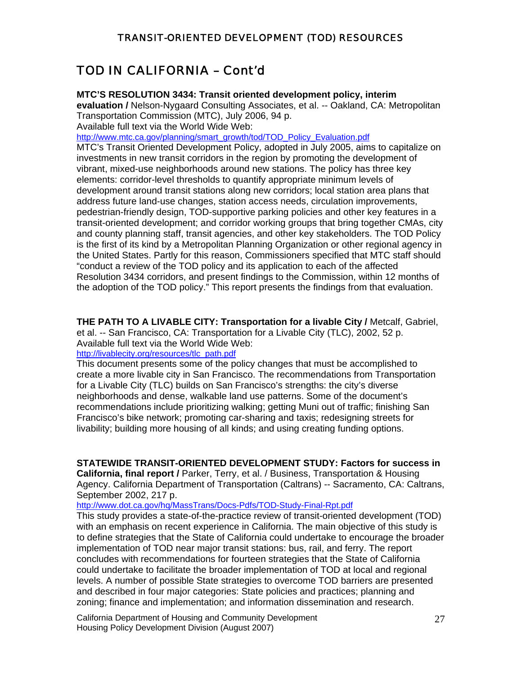### TOD IN CALIFORNIA – Cont'd

#### **MTC'S RESOLUTION 3434: Transit oriented development policy, interim**

**evaluation /** Nelson-Nygaard Consulting Associates, et al. -- Oakland, CA: Metropolitan Transportation Commission (MTC), July 2006, 94 p.

Available full text via the World Wide Web:

[http://www.mtc.ca.gov/planning/smart\\_growth/tod/TOD\\_Policy\\_Evaluation.pdf](http://www.mtc.ca.gov/planning/smart_growth/tod/TOD_Policy_Evaluation.pdf)

MTC's Transit Oriented Development Policy, adopted in July 2005, aims to capitalize on investments in new transit corridors in the region by promoting the development of vibrant, mixed-use neighborhoods around new stations. The policy has three key elements: corridor-level thresholds to quantify appropriate minimum levels of development around transit stations along new corridors; local station area plans that address future land-use changes, station access needs, circulation improvements, pedestrian-friendly design, TOD-supportive parking policies and other key features in a transit-oriented development; and corridor working groups that bring together CMAs, city and county planning staff, transit agencies, and other key stakeholders. The TOD Policy is the first of its kind by a Metropolitan Planning Organization or other regional agency in the United States. Partly for this reason, Commissioners specified that MTC staff should "conduct a review of the TOD policy and its application to each of the affected Resolution 3434 corridors, and present findings to the Commission, within 12 months of the adoption of the TOD policy." This report presents the findings from that evaluation.

**THE PATH TO A LIVABLE CITY: Transportation for a livable City /** Metcalf, Gabriel, et al. -- San Francisco, CA: Transportation for a Livable City (TLC), 2002, 52 p. Available full text via the World Wide Web:

[http://livablecity.org/resources/tlc\\_path.pdf](http://livablecity.org/resources/tlc_path.pdf)

This document presents some of the policy changes that must be accomplished to create a more livable city in San Francisco. The recommendations from Transportation for a Livable City (TLC) builds on San Francisco's strengths: the city's diverse neighborhoods and dense, walkable land use patterns. Some of the document's recommendations include prioritizing walking; getting Muni out of traffic; finishing San Francisco's bike network; promoting car-sharing and taxis; redesigning streets for livability; building more housing of all kinds; and using creating funding options.

**STATEWIDE TRANSIT-ORIENTED DEVELOPMENT STUDY: Factors for success in** 

**California, final report /** Parker, Terry, et al. / Business, Transportation & Housing Agency. California Department of Transportation (Caltrans) -- Sacramento, CA: Caltrans, September 2002, 217 p.

<http://www.dot.ca.gov/hq/MassTrans/Docs-Pdfs/TOD-Study-Final-Rpt.pdf>

This study provides a state-of-the-practice review of transit-oriented development (TOD) with an emphasis on recent experience in California. The main objective of this study is to define strategies that the State of California could undertake to encourage the broader implementation of TOD near major transit stations: bus, rail, and ferry. The report concludes with recommendations for fourteen strategies that the State of California could undertake to facilitate the broader implementation of TOD at local and regional levels. A number of possible State strategies to overcome TOD barriers are presented and described in four major categories: State policies and practices; planning and zoning; finance and implementation; and information dissemination and research.

California Department of Housing and Community Development 27 Housing Policy Development Division (August 2007)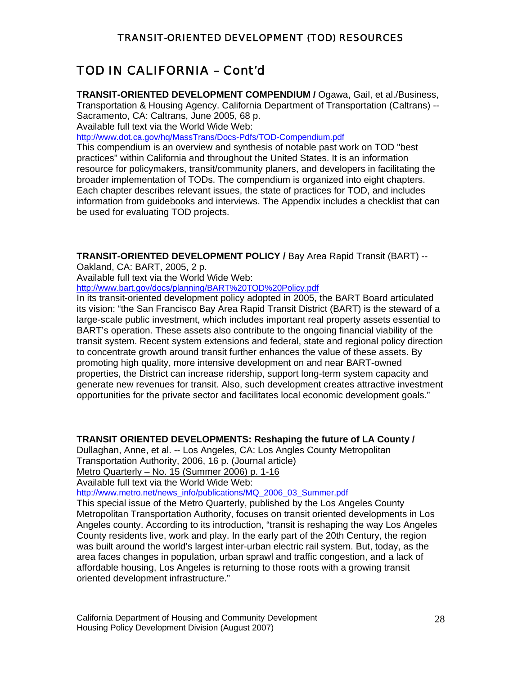# TOD IN CALIFORNIA – Cont'd

**TRANSIT-ORIENTED DEVELOPMENT COMPENDIUM /** Ogawa, Gail, et al./Business, Transportation & Housing Agency. California Department of Transportation (Caltrans) -- Sacramento, CA: Caltrans, June 2005, 68 p.

Available full text via the World Wide Web:

<http://www.dot.ca.gov/hq/MassTrans/Docs-Pdfs/TOD-Compendium.pdf>

This compendium is an overview and synthesis of notable past work on TOD "best practices" within California and throughout the United States. It is an information resource for policymakers, transit/community planers, and developers in facilitating the broader implementation of TODs. The compendium is organized into eight chapters. Each chapter describes relevant issues, the state of practices for TOD, and includes information from guidebooks and interviews. The Appendix includes a checklist that can be used for evaluating TOD projects.

**TRANSIT-ORIENTED DEVELOPMENT POLICY /** Bay Area Rapid Transit (BART) --

Oakland, CA: BART, 2005, 2 p.

Available full text via the World Wide Web:

<http://www.bart.gov/docs/planning/BART%20TOD%20Policy.pdf>

In its transit-oriented development policy adopted in 2005, the BART Board articulated its vision: "the San Francisco Bay Area Rapid Transit District (BART) is the steward of a large-scale public investment, which includes important real property assets essential to BART's operation. These assets also contribute to the ongoing financial viability of the transit system. Recent system extensions and federal, state and regional policy direction to concentrate growth around transit further enhances the value of these assets. By promoting high quality, more intensive development on and near BART-owned properties, the District can increase ridership, support long-term system capacity and generate new revenues for transit. Also, such development creates attractive investment opportunities for the private sector and facilitates local economic development goals."

#### **TRANSIT ORIENTED DEVELOPMENTS: Reshaping the future of LA County /**

Dullaghan, Anne, et al. -- Los Angeles, CA: Los Angles County Metropolitan Transportation Authority, 2006, 16 p. (Journal article)

Metro Quarterly – No. 15 (Summer 2006) p. 1-16

Available full text via the World Wide Web:

[http://www.metro.net/news\\_info/publications/MQ\\_2006\\_03\\_Summer.pdf](http://www.metro.net/news_info/publications/MQ_2006_03_Summer.pdf)

This special issue of the Metro Quarterly, published by the Los Angeles County Metropolitan Transportation Authority, focuses on transit oriented developments in Los Angeles county. According to its introduction, "transit is reshaping the way Los Angeles County residents live, work and play. In the early part of the 20th Century, the region was built around the world's largest inter-urban electric rail system. But, today, as the area faces changes in population, urban sprawl and traffic congestion, and a lack of affordable housing, Los Angeles is returning to those roots with a growing transit oriented development infrastructure."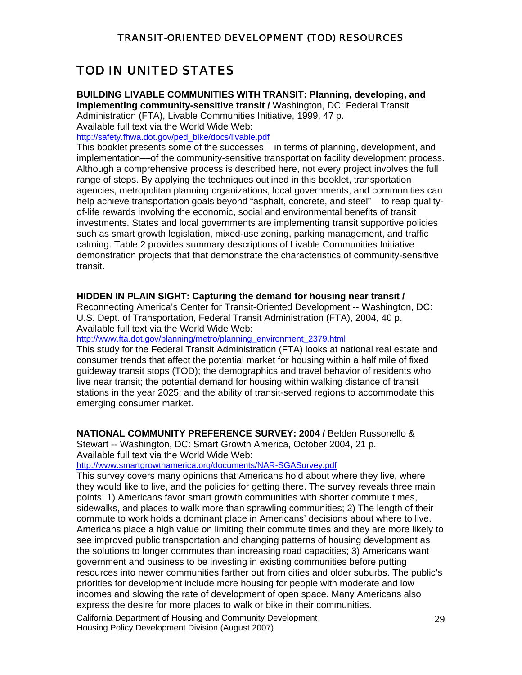### TOD IN UNITED STATES

**BUILDING LIVABLE COMMUNITIES WITH TRANSIT: Planning, developing, and** 

**implementing community-sensitive transit /** Washington, DC: Federal Transit Administration (FTA), Livable Communities Initiative, 1999, 47 p. Available full text via the World Wide Web:

[http://safety.fhwa.dot.gov/ped\\_bike/docs/livable.pdf](http://safety.fhwa.dot.gov/ped_bike/docs/livable.pdf)

This booklet presents some of the successes––in terms of planning, development, and implementation––of the community-sensitive transportation facility development process. Although a comprehensive process is described here, not every project involves the full range of steps. By applying the techniques outlined in this booklet, transportation agencies, metropolitan planning organizations, local governments, and communities can help achieve transportation goals beyond "asphalt, concrete, and steel"—to reap qualityof-life rewards involving the economic, social and environmental benefits of transit investments. States and local governments are implementing transit supportive policies such as smart growth legislation, mixed-use zoning, parking management, and traffic calming. Table 2 provides summary descriptions of Livable Communities Initiative demonstration projects that that demonstrate the characteristics of community-sensitive transit.

#### **HIDDEN IN PLAIN SIGHT: Capturing the demand for housing near transit /**

Reconnecting America's Center for Transit-Oriented Development -- Washington, DC: U.S. Dept. of Transportation, Federal Transit Administration (FTA), 2004, 40 p. Available full text via the World Wide Web:

[http://www.fta.dot.gov/planning/metro/planning\\_environment\\_2379.html](http://www.fta.dot.gov/planning/metro/planning_environment_2379.html)

This study for the Federal Transit Administration (FTA) looks at national real estate and consumer trends that affect the potential market for housing within a half mile of fixed guideway transit stops (TOD); the demographics and travel behavior of residents who live near transit; the potential demand for housing within walking distance of transit stations in the year 2025; and the ability of transit-served regions to accommodate this emerging consumer market.

**NATIONAL COMMUNITY PREFERENCE SURVEY: 2004 /** Belden Russonello &

Stewart -- Washington, DC: Smart Growth America, October 2004, 21 p. Available full text via the World Wide Web:

<http://www.smartgrowthamerica.org/documents/NAR-SGASurvey.pdf>

This survey covers many opinions that Americans hold about where they live, where they would like to live, and the policies for getting there. The survey reveals three main points: 1) Americans favor smart growth communities with shorter commute times, sidewalks, and places to walk more than sprawling communities; 2) The length of their commute to work holds a dominant place in Americans' decisions about where to live. Americans place a high value on limiting their commute times and they are more likely to see improved public transportation and changing patterns of housing development as the solutions to longer commutes than increasing road capacities; 3) Americans want government and business to be investing in existing communities before putting resources into newer communities farther out from cities and older suburbs. The public's priorities for development include more housing for people with moderate and low incomes and slowing the rate of development of open space. Many Americans also express the desire for more places to walk or bike in their communities.

California Department of Housing and Community Development 29 Housing Policy Development Division (August 2007)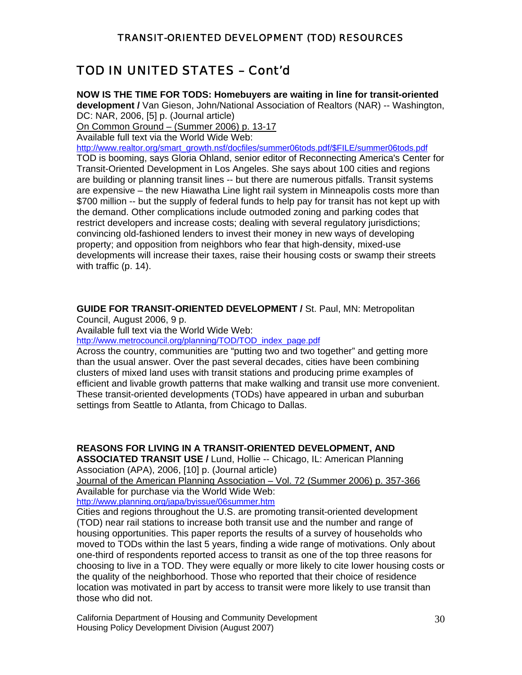### TOD IN UNITED STATES – Cont'd

**NOW IS THE TIME FOR TODS: Homebuyers are waiting in line for transit-oriented development /** Van Gieson, John/National Association of Realtors (NAR) -- Washington, DC: NAR, 2006, [5] p. (Journal article)

On Common Ground – (Summer 2006) p. 13-17

Available full text via the World Wide Web:

[http://www.realtor.org/smart\\_growth.nsf/docfiles/summer06tods.pdf/\\$FILE/summer06tods.pdf](http://www.realtor.org/smart_growth.nsf/docfiles/summer06tods.pdf/$FILE/summer06tods.pdf)

TOD is booming, says Gloria Ohland, senior editor of Reconnecting America's Center for Transit-Oriented Development in Los Angeles. She says about 100 cities and regions are building or planning transit lines -- but there are numerous pitfalls. Transit systems are expensive – the new Hiawatha Line light rail system in Minneapolis costs more than \$700 million -- but the supply of federal funds to help pay for transit has not kept up with the demand. Other complications include outmoded zoning and parking codes that restrict developers and increase costs; dealing with several regulatory jurisdictions; convincing old-fashioned lenders to invest their money in new ways of developing property; and opposition from neighbors who fear that high-density, mixed-use developments will increase their taxes, raise their housing costs or swamp their streets with traffic (p. 14).

**GUIDE FOR TRANSIT-ORIENTED DEVELOPMENT /** St. Paul, MN: Metropolitan

Council, August 2006, 9 p.

Available full text via the World Wide Web:

[http://www.metrocouncil.org/planning/TOD/TOD\\_index\\_page.pdf](http://www.metrocouncil.org/planning/TOD/TOD_index_page.pdf)

Across the country, communities are "putting two and two together" and getting more than the usual answer. Over the past several decades, cities have been combining clusters of mixed land uses with transit stations and producing prime examples of efficient and livable growth patterns that make walking and transit use more convenient. These transit-oriented developments (TODs) have appeared in urban and suburban settings from Seattle to Atlanta, from Chicago to Dallas.

**REASONS FOR LIVING IN A TRANSIT-ORIENTED DEVELOPMENT, AND** 

**ASSOCIATED TRANSIT USE /** Lund, Hollie -- Chicago, IL: American Planning Association (APA), 2006, [10] p. (Journal article)

Journal of the American Planning Association – Vol. 72 (Summer 2006) p. 357-366 Available for purchase via the World Wide Web:

<http://www.planning.org/japa/byissue/06summer.htm>

Cities and regions throughout the U.S. are promoting transit-oriented development (TOD) near rail stations to increase both transit use and the number and range of housing opportunities. This paper reports the results of a survey of households who moved to TODs within the last 5 years, finding a wide range of motivations. Only about one-third of respondents reported access to transit as one of the top three reasons for choosing to live in a TOD. They were equally or more likely to cite lower housing costs or the quality of the neighborhood. Those who reported that their choice of residence location was motivated in part by access to transit were more likely to use transit than those who did not.

California Department of Housing and Community Development 30 Housing Policy Development Division (August 2007)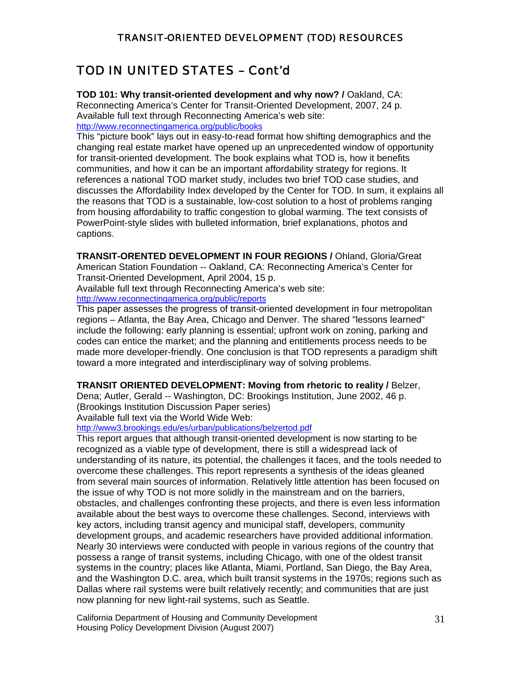# TOD IN UNITED STATES – Cont'd

**TOD 101: Why transit-oriented development and why now? /** Oakland, CA: Reconnecting America's Center for Transit-Oriented Development, 2007, 24 p. Available full text through Reconnecting America's web site: http://www.reconnectingamerica.org/public/books

This "picture book" lays out in easy-to-read format how shifting demographics and the changing real estate market have opened up an unprecedented window of opportunity for transit-oriented development. The book explains what TOD is, how it benefits communities, and how it can be an important affordability strategy for regions. It references a national TOD market study, includes two brief TOD case studies, and discusses the Affordability Index developed by the Center for TOD. In sum, it explains all the reasons that TOD is a sustainable, low-cost solution to a host of problems ranging from housing affordability to traffic congestion to global warming. The text consists of PowerPoint-style slides with bulleted information, brief explanations, photos and captions.

**TRANSIT-ORENTED DEVELOPMENT IN FOUR REGIONS /** Ohland, Gloria/Great American Station Foundation -- Oakland, CA: Reconnecting America's Center for Transit-Oriented Development, April 2004, 15 p. Available full text through Reconnecting America's web site:

<http://www.reconnectingamerica.org/public/reports>

This paper assesses the progress of transit-oriented development in four metropolitan regions – Atlanta, the Bay Area, Chicago and Denver. The shared "lessons learned" include the following: early planning is essential; upfront work on zoning, parking and codes can entice the market; and the planning and entitlements process needs to be made more developer-friendly. One conclusion is that TOD represents a paradigm shift toward a more integrated and interdisciplinary way of solving problems.

#### **TRANSIT ORIENTED DEVELOPMENT: Moving from rhetoric to reality /** Belzer,

Dena; Autler, Gerald -- Washington, DC: Brookings Institution, June 2002, 46 p. (Brookings Institution Discussion Paper series)

Available full text via the World Wide Web:

#### <http://www3.brookings.edu/es/urban/publications/belzertod.pdf>

This report argues that although transit-oriented development is now starting to be recognized as a viable type of development, there is still a widespread lack of understanding of its nature, its potential, the challenges it faces, and the tools needed to overcome these challenges. This report represents a synthesis of the ideas gleaned from several main sources of information. Relatively little attention has been focused on the issue of why TOD is not more solidly in the mainstream and on the barriers, obstacles, and challenges confronting these projects, and there is even less information available about the best ways to overcome these challenges. Second, interviews with key actors, including transit agency and municipal staff, developers, community development groups, and academic researchers have provided additional information. Nearly 30 interviews were conducted with people in various regions of the country that possess a range of transit systems, including Chicago, with one of the oldest transit systems in the country; places like Atlanta, Miami, Portland, San Diego, the Bay Area, and the Washington D.C. area, which built transit systems in the 1970s; regions such as Dallas where rail systems were built relatively recently; and communities that are just now planning for new light-rail systems, such as Seattle.

California Department of Housing and Community Development 31 Housing Policy Development Division (August 2007)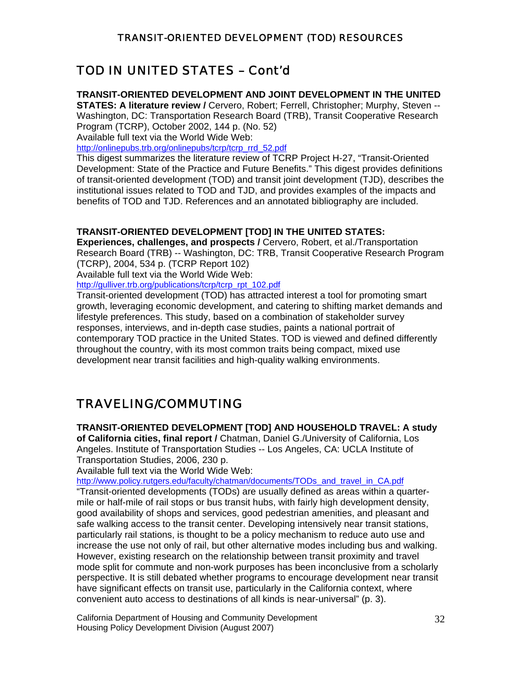# TOD IN UNITED STATES – Cont'd

#### **TRANSIT-ORIENTED DEVELOPMENT AND JOINT DEVELOPMENT IN THE UNITED**

**STATES: A literature review /** Cervero, Robert; Ferrell, Christopher; Murphy, Steven -- Washington, DC: Transportation Research Board (TRB), Transit Cooperative Research Program (TCRP), October 2002, 144 p. (No. 52)

Available full text via the World Wide Web:

[http://onlinepubs.trb.org/onlinepubs/tcrp/tcrp\\_rrd\\_52.pdf](http://onlinepubs.trb.org/onlinepubs/tcrp/tcrp_rrd_52.pdf)

This digest summarizes the literature review of TCRP Project H-27, "Transit-Oriented Development: State of the Practice and Future Benefits." This digest provides definitions of transit-oriented development (TOD) and transit joint development (TJD), describes the institutional issues related to TOD and TJD, and provides examples of the impacts and benefits of TOD and TJD. References and an annotated bibliography are included.

#### **TRANSIT-ORIENTED DEVELOPMENT [TOD] IN THE UNITED STATES:**

**Experiences, challenges, and prospects /** Cervero, Robert, et al./Transportation Research Board (TRB) -- Washington, DC: TRB, Transit Cooperative Research Program (TCRP), 2004, 534 p. (TCRP Report 102)

Available full text via the World Wide Web:

[http://gulliver.trb.org/publications/tcrp/tcrp\\_rpt\\_102.pdf](http://gulliver.trb.org/publications/tcrp/tcrp_rpt_102.pdf)

Transit-oriented development (TOD) has attracted interest a tool for promoting smart growth, leveraging economic development, and catering to shifting market demands and lifestyle preferences. This study, based on a combination of stakeholder survey responses, interviews, and in-depth case studies, paints a national portrait of contemporary TOD practice in the United States. TOD is viewed and defined differently throughout the country, with its most common traits being compact, mixed use development near transit facilities and high-quality walking environments.

# TRAVELING/COMMUTING

**TRANSIT-ORIENTED DEVELOPMENT [TOD] AND HOUSEHOLD TRAVEL: A study** 

**of California cities, final report /** Chatman, Daniel G./University of California, Los Angeles. Institute of Transportation Studies -- Los Angeles, CA: UCLA Institute of Transportation Studies, 2006, 230 p.

Available full text via the World Wide Web:

[http://www.policy.rutgers.edu/faculty/chatman/documents/TODs\\_and\\_travel\\_in\\_CA.pdf](http://www.policy.rutgers.edu/faculty/chatman/documents/TODs_and_travel_in_CA.pdf)

"Transit-oriented developments (TODs) are usually defined as areas within a quartermile or half-mile of rail stops or bus transit hubs, with fairly high development density, good availability of shops and services, good pedestrian amenities, and pleasant and safe walking access to the transit center. Developing intensively near transit stations, particularly rail stations, is thought to be a policy mechanism to reduce auto use and increase the use not only of rail, but other alternative modes including bus and walking. However, existing research on the relationship between transit proximity and travel mode split for commute and non-work purposes has been inconclusive from a scholarly perspective. It is still debated whether programs to encourage development near transit have significant effects on transit use, particularly in the California context, where convenient auto access to destinations of all kinds is near-universal" (p. 3).

California Department of Housing and Community Development 32 Housing Policy Development Division (August 2007)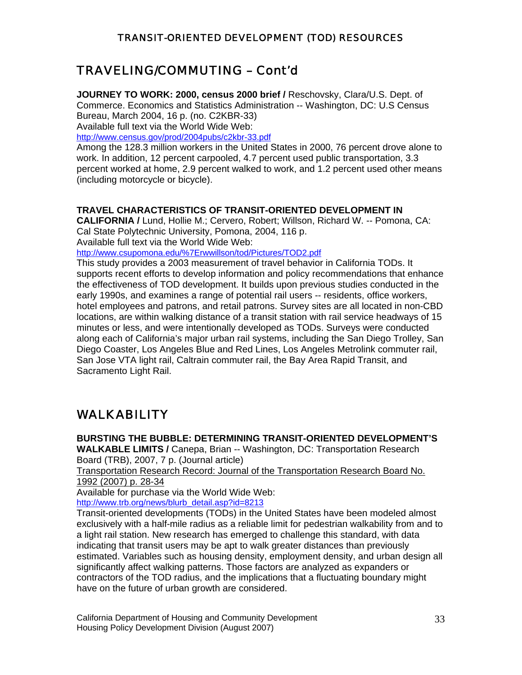### TRAVELING/COMMUTING – Cont'd

**JOURNEY TO WORK: 2000, census 2000 brief /** Reschovsky, Clara/U.S. Dept. of Commerce. Economics and Statistics Administration -- Washington, DC: U.S Census Bureau, March 2004, 16 p. (no. C2KBR-33)

Available full text via the World Wide Web:

<http://www.census.gov/prod/2004pubs/c2kbr-33.pdf>

Among the 128.3 million workers in the United States in 2000, 76 percent drove alone to work. In addition, 12 percent carpooled, 4.7 percent used public transportation, 3.3 percent worked at home, 2.9 percent walked to work, and 1.2 percent used other means (including motorcycle or bicycle).

#### **TRAVEL CHARACTERISTICS OF TRANSIT-ORIENTED DEVELOPMENT IN**

**CALIFORNIA /** Lund, Hollie M.; Cervero, Robert; Willson, Richard W. -- Pomona, CA: Cal State Polytechnic University, Pomona, 2004, 116 p. Available full text via the World Wide Web:

<http://www.csupomona.edu/%7Erwwillson/tod/Pictures/TOD2.pdf>

This study provides a 2003 measurement of travel behavior in California TODs. It supports recent efforts to develop information and policy recommendations that enhance the effectiveness of TOD development. It builds upon previous studies conducted in the early 1990s, and examines a range of potential rail users -- residents, office workers, hotel employees and patrons, and retail patrons. Survey sites are all located in non-CBD locations, are within walking distance of a transit station with rail service headways of 15 minutes or less, and were intentionally developed as TODs. Surveys were conducted along each of California's major urban rail systems, including the San Diego Trolley, San Diego Coaster, Los Angeles Blue and Red Lines, Los Angeles Metrolink commuter rail, San Jose VTA light rail, Caltrain commuter rail, the Bay Area Rapid Transit, and Sacramento Light Rail.

# WALKABILITY

**BURSTING THE BUBBLE: DETERMINING TRANSIT-ORIENTED DEVELOPMENT'S WALKABLE LIMITS /** Canepa, Brian -- Washington, DC: Transportation Research Board (TRB), 2007, 7 p. (Journal article)

[Transportation Research Record: Journal of the Transportation Research Board](http://ntlsearch.bts.gov/tris/search.do?f1=mnid&new=&t1=381396&d=tr) No. 1992 (2007) p. 28-34

Available for purchase via the World Wide Web: http://www.trb.org/news/blurb\_detail.asp?id=8213

Transit-oriented developments (TODs) in the United States have been modeled almost exclusively with a half-mile radius as a reliable limit for pedestrian walkability from and to a light rail station. New research has emerged to challenge this standard, with data indicating that transit users may be apt to walk greater distances than previously estimated. Variables such as housing density, employment density, and urban design all significantly affect walking patterns. Those factors are analyzed as expanders or contractors of the TOD radius, and the implications that a fluctuating boundary might have on the future of urban growth are considered.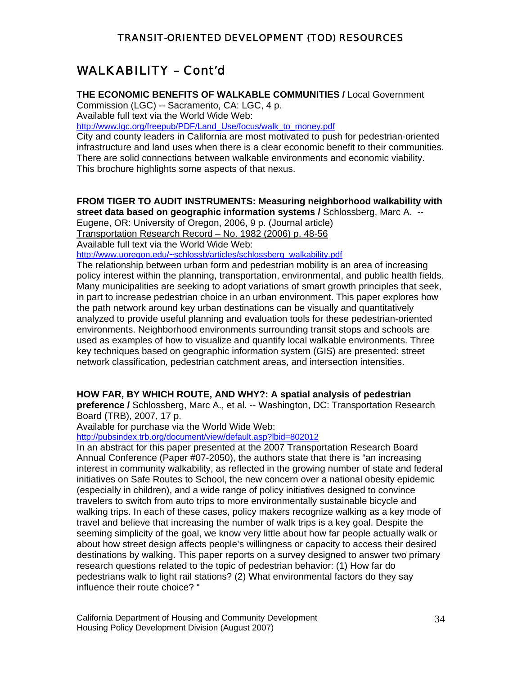# WALKABILITY – Cont'd

#### **THE ECONOMIC BENEFITS OF WALKABLE COMMUNITIES /** Local Government

Commission (LGC) -- Sacramento, CA: LGC, 4 p. Available full text via the World Wide Web:

[http://www.lgc.org/freepub/PDF/Land\\_Use/focus/walk\\_to\\_money.pdf](http://www.lgc.org/freepub/PDF/Land_Use/focus/walk_to_money.pdf)

City and county leaders in California are most motivated to push for pedestrian-oriented infrastructure and land uses when there is a clear economic benefit to their communities. There are solid connections between walkable environments and economic viability. This brochure highlights some aspects of that nexus.

#### **FROM TIGER TO AUDIT INSTRUMENTS: Measuring neighborhood walkability with street data based on geographic information systems /** Schlossberg, Marc A. --

Eugene, OR: University of Oregon, 2006, 9 p. (Journal article)

Transportation Research Record – No. 1982 (2006) p. 48-56

Available full text via the World Wide Web:

[http://www.uoregon.edu/~schlossb/articles/schlossberg\\_walkability.pdf](http://www.uoregon.edu/%7Eschlossb/articles/schlossberg_walkability.pdf)

The relationship between urban form and pedestrian mobility is an area of increasing policy interest within the planning, transportation, environmental, and public health fields. Many municipalities are seeking to adopt variations of smart growth principles that seek, in part to increase pedestrian choice in an urban environment. This paper explores how the path network around key urban destinations can be visually and quantitatively analyzed to provide useful planning and evaluation tools for these pedestrian-oriented environments. Neighborhood environments surrounding transit stops and schools are used as examples of how to visualize and quantify local walkable environments. Three key techniques based on geographic information system (GIS) are presented: street network classification, pedestrian catchment areas, and intersection intensities.

#### **HOW FAR, BY WHICH ROUTE, AND WHY?: A spatial analysis of pedestrian**

**preference /** Schlossberg, Marc A., et al. -- Washington, DC: Transportation Research Board (TRB), 2007, 17 p.

Available for purchase via the World Wide Web:

<http://pubsindex.trb.org/document/view/default.asp?lbid=802012>

In an abstract for this paper presented at the 2007 Transportation Research Board Annual Conference (Paper #07-2050), the authors state that there is "an increasing interest in community walkability, as reflected in the growing number of state and federal initiatives on Safe Routes to School, the new concern over a national obesity epidemic (especially in children), and a wide range of policy initiatives designed to convince travelers to switch from auto trips to more environmentally sustainable bicycle and walking trips. In each of these cases, policy makers recognize walking as a key mode of travel and believe that increasing the number of walk trips is a key goal. Despite the seeming simplicity of the goal, we know very little about how far people actually walk or about how street design affects people's willingness or capacity to access their desired destinations by walking. This paper reports on a survey designed to answer two primary research questions related to the topic of pedestrian behavior: (1) How far do pedestrians walk to light rail stations? (2) What environmental factors do they say influence their route choice? "